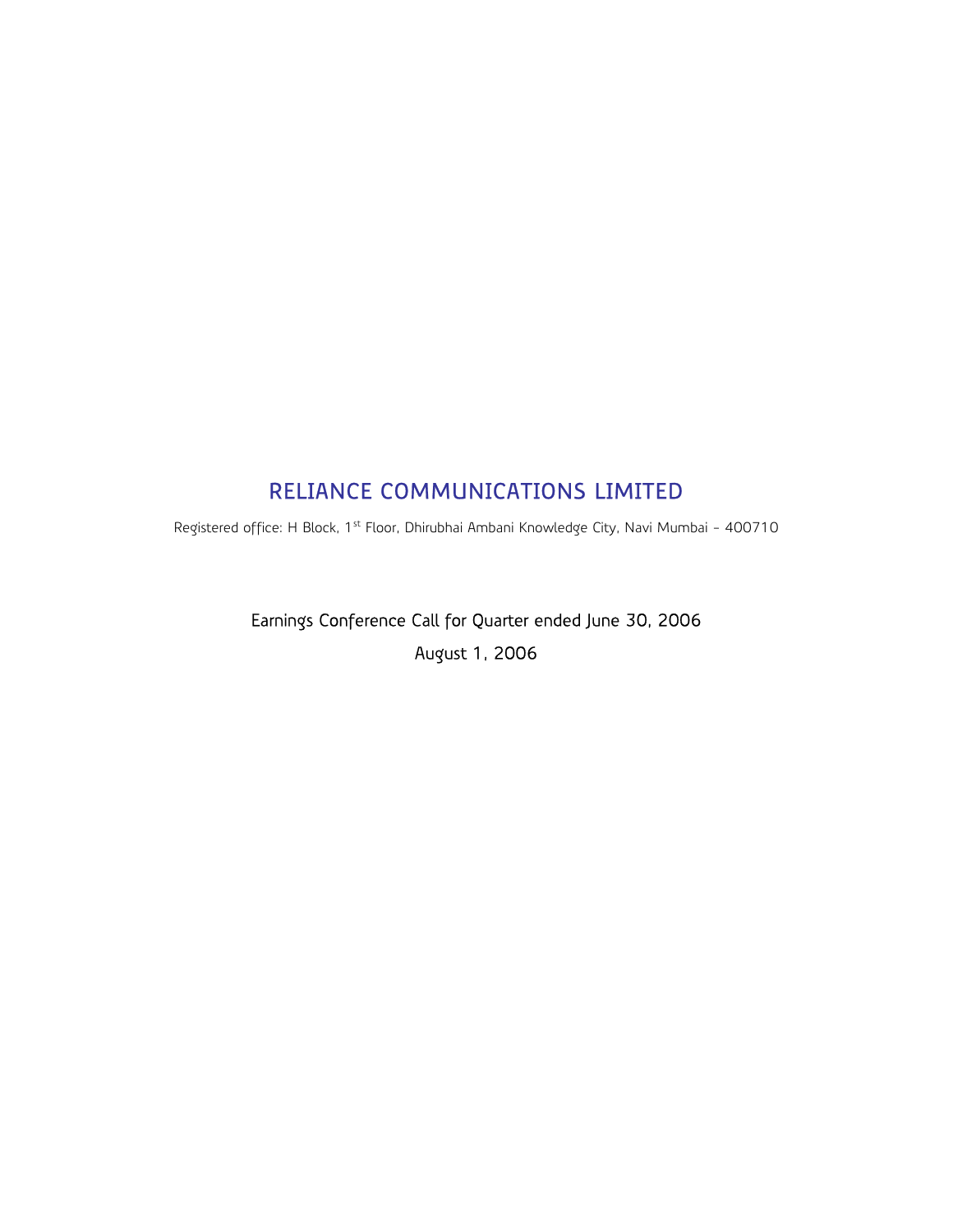# RELIANCE COMMUNICATIONS LIMITED

Registered office: H Block, 1<sup>st</sup> Floor, Dhirubhai Ambani Knowledge City, Navi Mumbai - 400710

Earnings Conference Call for Quarter ended June 30, 2006 August 1, 2006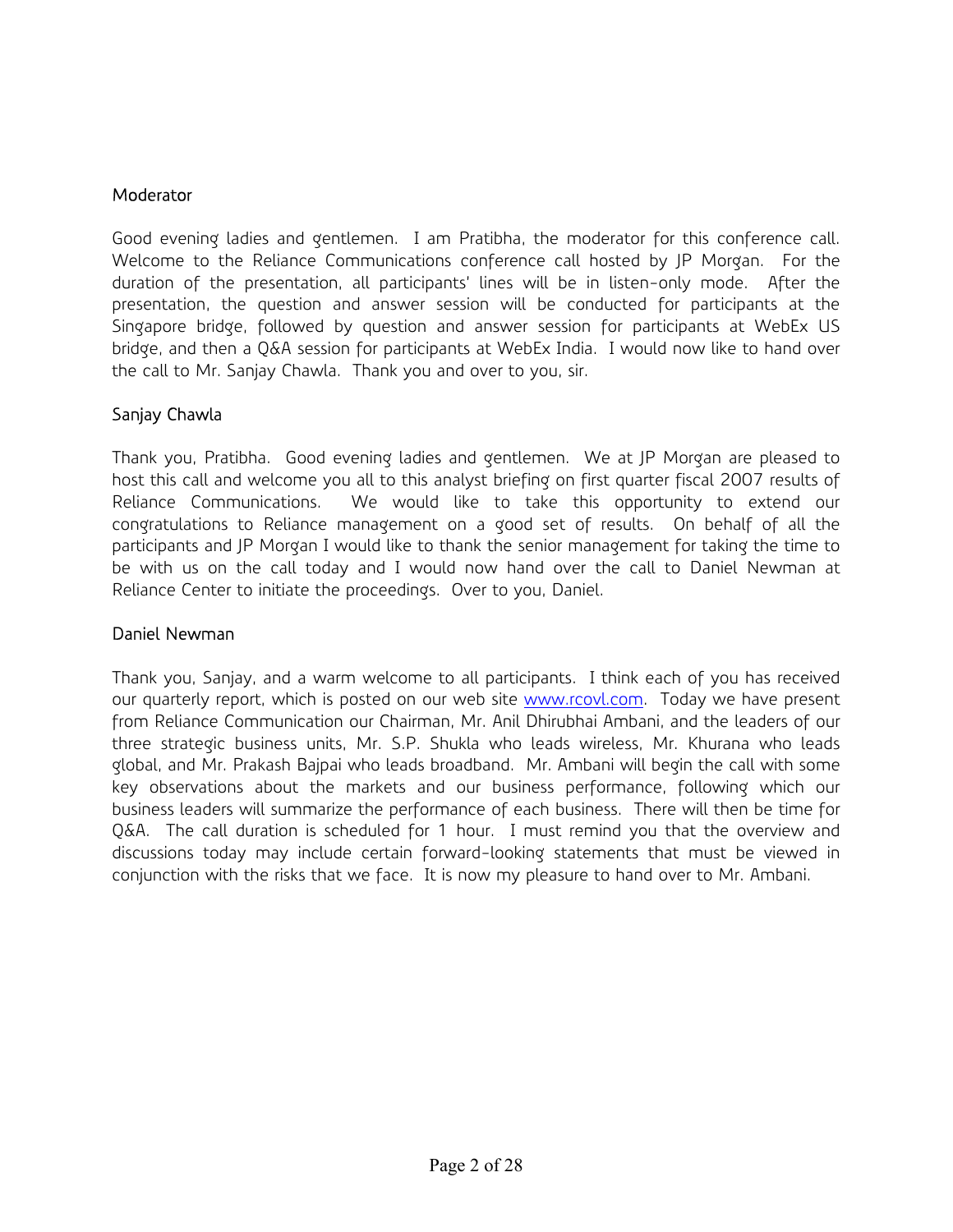#### **Moderator**

Good evening ladies and gentlemen. I am Pratibha, the moderator for this conference call. Welcome to the Reliance Communications conference call hosted by JP Morgan. For the duration of the presentation, all participants' lines will be in listen-only mode. After the presentation, the question and answer session will be conducted for participants at the Singapore bridge, followed by question and answer session for participants at WebEx US bridge, and then a Q&A session for participants at WebEx India. I would now like to hand over the call to Mr. Sanjay Chawla. Thank you and over to you, sir.

### Sanjay Chawla

Thank you, Pratibha. Good evening ladies and gentlemen. We at JP Morgan are pleased to host this call and welcome you all to this analyst briefing on first quarter fiscal 2007 results of Reliance Communications. We would like to take this opportunity to extend our congratulations to Reliance management on a good set of results. On behalf of all the participants and JP Morgan I would like to thank the senior management for taking the time to be with us on the call today and I would now hand over the call to Daniel Newman at Reliance Center to initiate the proceedings. Over to you, Daniel.

#### Daniel Newman

Thank you, Sanjay, and a warm welcome to all participants. I think each of you has received our quarterly report, which is posted on our web site www.rcovl.com. Today we have present from Reliance Communication our Chairman, Mr. Anil Dhirubhai Ambani, and the leaders of our three strategic business units, Mr. S.P. Shukla who leads wireless, Mr. Khurana who leads global, and Mr. Prakash Bajpai who leads broadband. Mr. Ambani will begin the call with some key observations about the markets and our business performance, following which our business leaders will summarize the performance of each business. There will then be time for Q&A. The call duration is scheduled for 1 hour. I must remind you that the overview and discussions today may include certain forward-looking statements that must be viewed in conjunction with the risks that we face. It is now my pleasure to hand over to Mr. Ambani.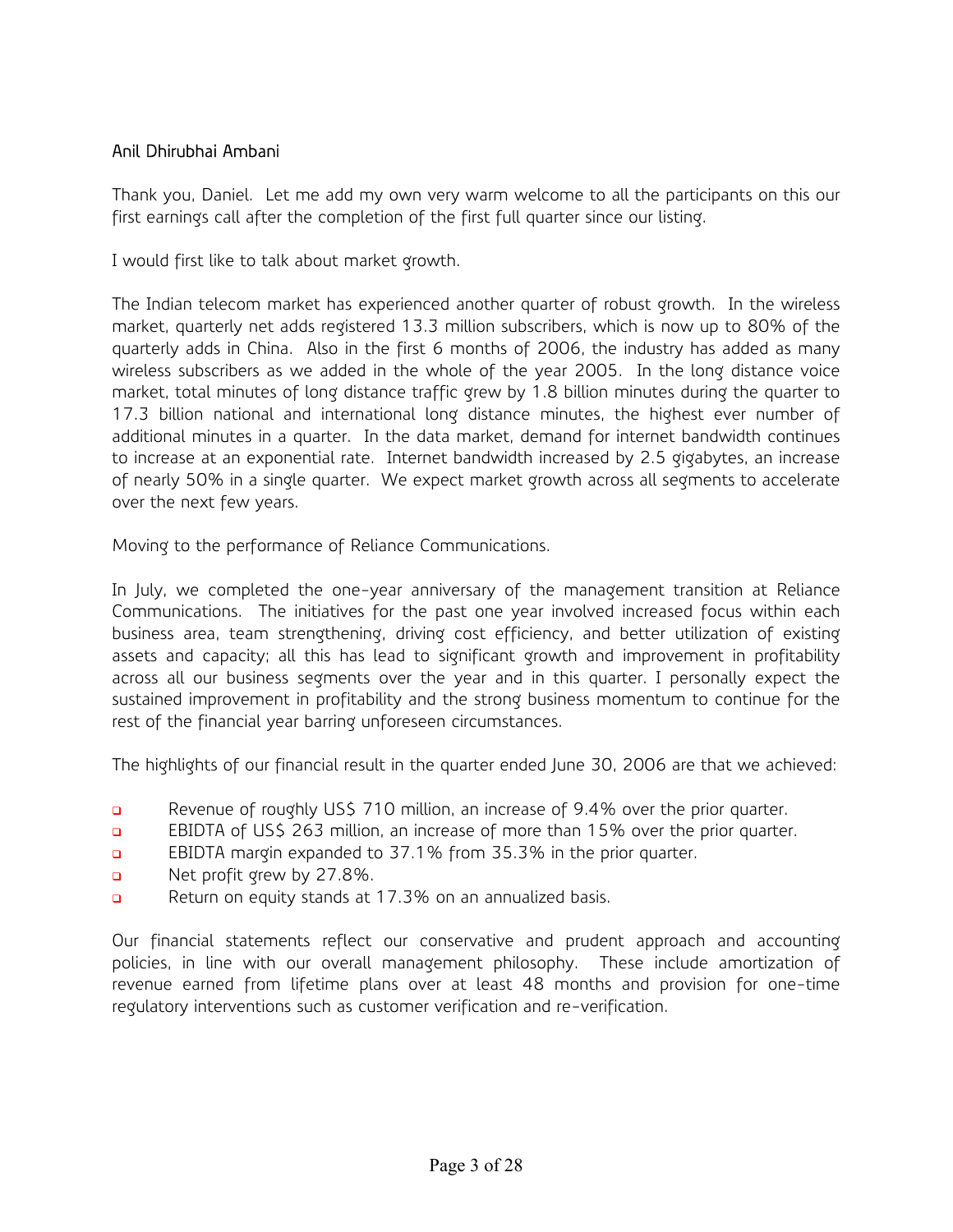# Anil Dhirubhai Ambani

Thank you, Daniel. Let me add my own very warm welcome to all the participants on this our first earnings call after the completion of the first full quarter since our listing.

I would first like to talk about market growth.

The Indian telecom market has experienced another quarter of robust growth. In the wireless market, quarterly net adds registered 13.3 million subscribers, which is now up to 80% of the quarterly adds in China. Also in the first 6 months of 2006, the industry has added as many wireless subscribers as we added in the whole of the year 2005. In the long distance voice market, total minutes of long distance traffic grew by 1.8 billion minutes during the quarter to 17.3 billion national and international long distance minutes, the highest ever number of additional minutes in a quarter. In the data market, demand for internet bandwidth continues to increase at an exponential rate. Internet bandwidth increased by 2.5 gigabytes, an increase of nearly 50% in a single quarter. We expect market growth across all segments to accelerate over the next few years.

Moving to the performance of Reliance Communications.

In July, we completed the one-year anniversary of the management transition at Reliance Communications. The initiatives for the past one year involved increased focus within each business area, team strengthening, driving cost efficiency, and better utilization of existing assets and capacity; all this has lead to significant growth and improvement in profitability across all our business segments over the year and in this quarter. I personally expect the sustained improvement in profitability and the strong business momentum to continue for the rest of the financial year barring unforeseen circumstances.

The highlights of our financial result in the quarter ended June 30, 2006 are that we achieved:

- Revenue of roughly US\$ 710 million, an increase of 9.4% over the prior quarter.
- **EBIDTA of US\$ 263 million, an increase of more than 15% over the prior quarter.**
- EBIDTA margin expanded to 37.1% from 35.3% in the prior quarter.
- Net profit grew by 27.8%.
- Return on equity stands at 17.3% on an annualized basis.

Our financial statements reflect our conservative and prudent approach and accounting policies, in line with our overall management philosophy. These include amortization of revenue earned from lifetime plans over at least 48 months and provision for one-time regulatory interventions such as customer verification and re-verification.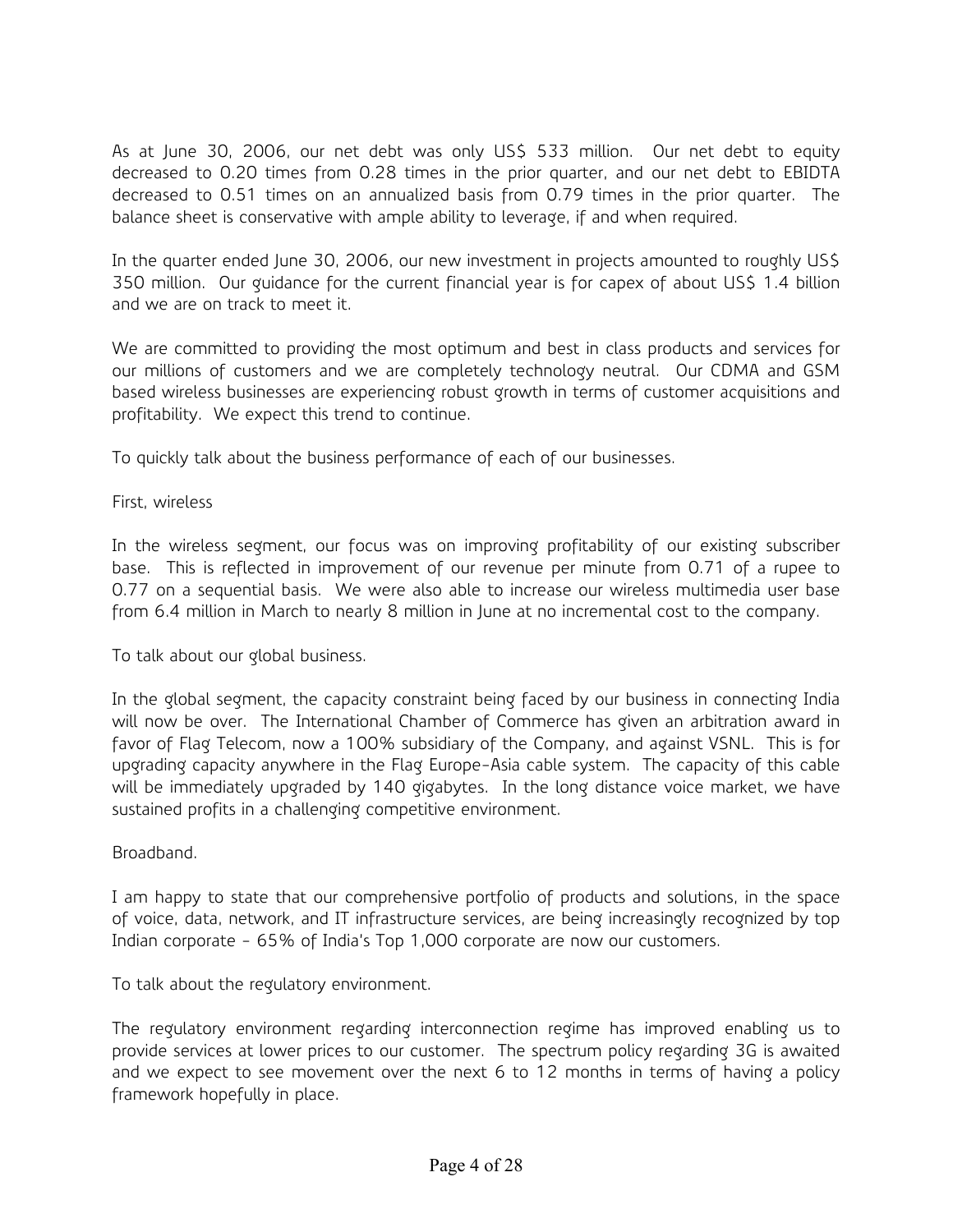As at June 30, 2006, our net debt was only US\$ 533 million. Our net debt to equity decreased to 0.20 times from 0.28 times in the prior quarter, and our net debt to EBIDTA decreased to 0.51 times on an annualized basis from 0.79 times in the prior quarter. The balance sheet is conservative with ample ability to leverage, if and when required.

In the quarter ended June 30, 2006, our new investment in projects amounted to roughly US\$ 350 million. Our guidance for the current financial year is for capex of about US\$ 1.4 billion and we are on track to meet it.

We are committed to providing the most optimum and best in class products and services for our millions of customers and we are completely technology neutral. Our CDMA and GSM based wireless businesses are experiencing robust growth in terms of customer acquisitions and profitability. We expect this trend to continue.

To quickly talk about the business performance of each of our businesses.

First, wireless

In the wireless segment, our focus was on improving profitability of our existing subscriber base. This is reflected in improvement of our revenue per minute from 0.71 of a rupee to 0.77 on a sequential basis. We were also able to increase our wireless multimedia user base from 6.4 million in March to nearly 8 million in June at no incremental cost to the company.

To talk about our global business.

In the global segment, the capacity constraint being faced by our business in connecting India will now be over. The International Chamber of Commerce has given an arbitration award in favor of Flag Telecom, now a 100% subsidiary of the Company, and against VSNL. This is for upgrading capacity anywhere in the Flag Europe-Asia cable system. The capacity of this cable will be immediately upgraded by 140 gigabytes. In the long distance voice market, we have sustained profits in a challenging competitive environment.

Broadband.

I am happy to state that our comprehensive portfolio of products and solutions, in the space of voice, data, network, and IT infrastructure services, are being increasingly recognized by top Indian corporate - 65% of India's Top 1,000 corporate are now our customers.

To talk about the regulatory environment.

The regulatory environment regarding interconnection regime has improved enabling us to provide services at lower prices to our customer. The spectrum policy regarding 3G is awaited and we expect to see movement over the next 6 to 12 months in terms of having a policy framework hopefully in place.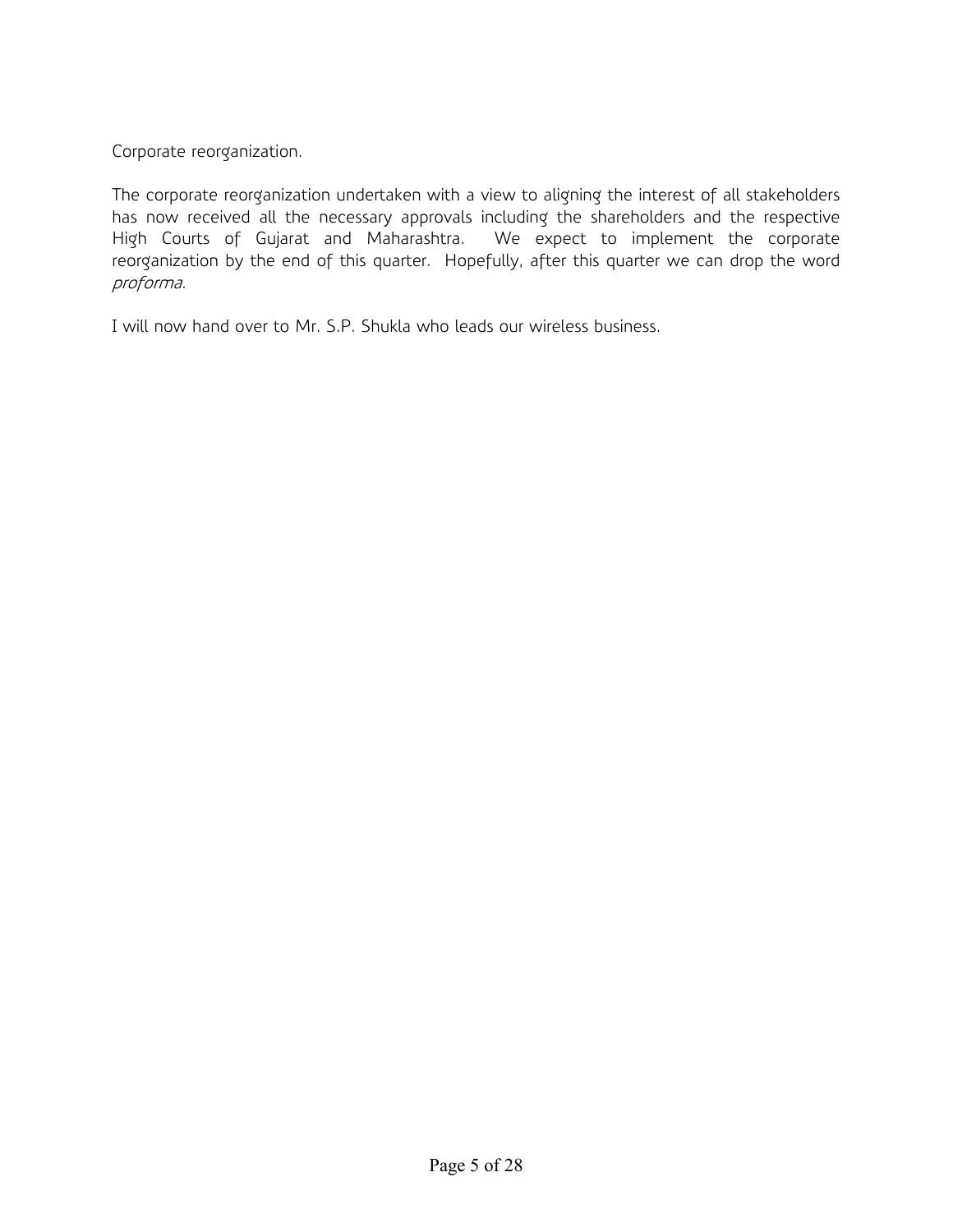Corporate reorganization.

The corporate reorganization undertaken with a view to aligning the interest of all stakeholders has now received all the necessary approvals including the shareholders and the respective High Courts of Gujarat and Maharashtra. We expect to implement the corporate reorganization by the end of this quarter. Hopefully, after this quarter we can drop the word proforma.

I will now hand over to Mr. S.P. Shukla who leads our wireless business.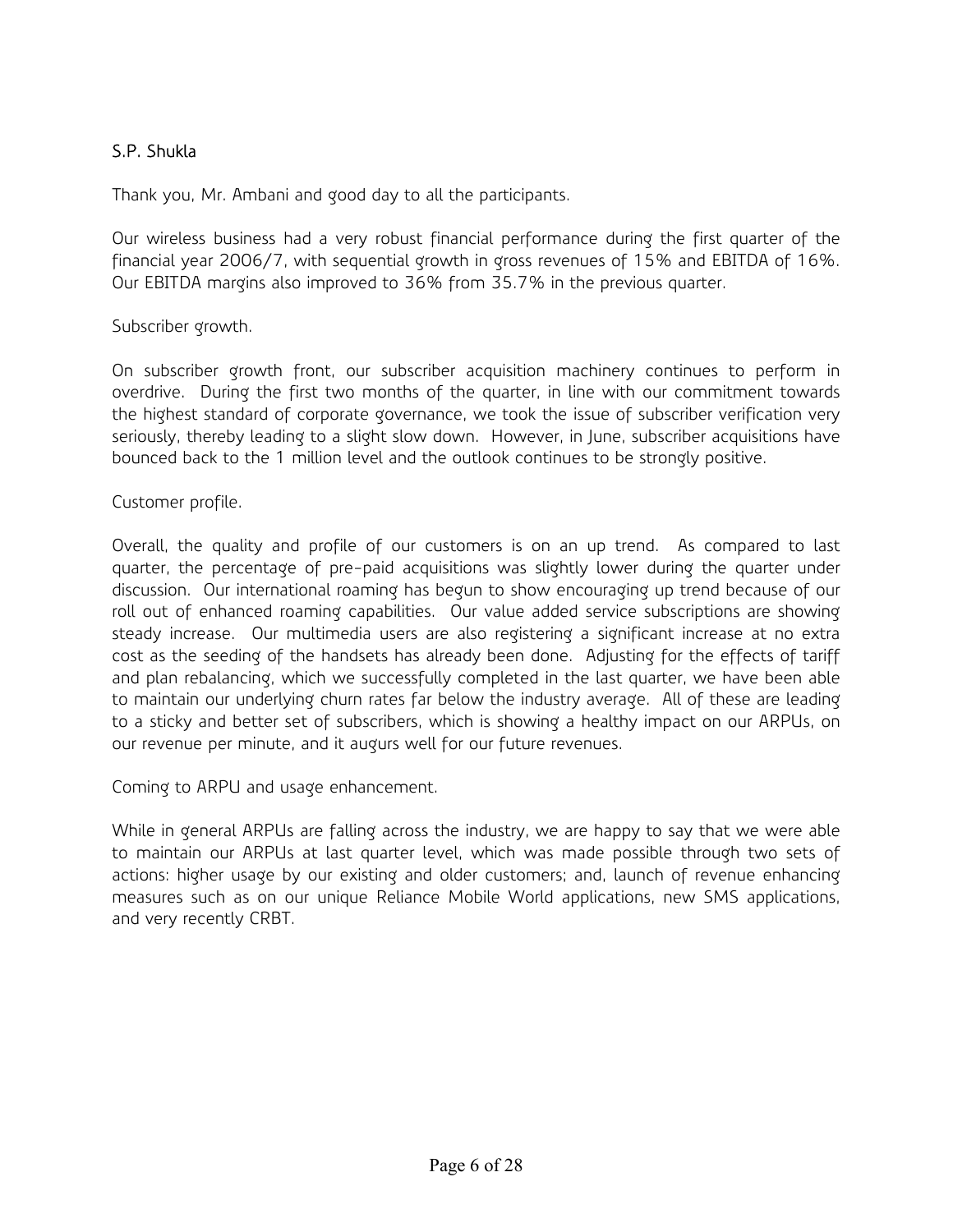# S.P. Shukla

Thank you, Mr. Ambani and good day to all the participants.

Our wireless business had a very robust financial performance during the first quarter of the financial year 2006/7, with sequential growth in gross revenues of 15% and EBITDA of 16%. Our EBITDA margins also improved to 36% from 35.7% in the previous quarter.

Subscriber growth.

On subscriber growth front, our subscriber acquisition machinery continues to perform in overdrive. During the first two months of the quarter, in line with our commitment towards the highest standard of corporate governance, we took the issue of subscriber verification very seriously, thereby leading to a slight slow down. However, in June, subscriber acquisitions have bounced back to the 1 million level and the outlook continues to be strongly positive.

Customer profile.

Overall, the quality and profile of our customers is on an up trend. As compared to last quarter, the percentage of pre-paid acquisitions was slightly lower during the quarter under discussion. Our international roaming has begun to show encouraging up trend because of our roll out of enhanced roaming capabilities. Our value added service subscriptions are showing steady increase. Our multimedia users are also registering a significant increase at no extra cost as the seeding of the handsets has already been done. Adjusting for the effects of tariff and plan rebalancing, which we successfully completed in the last quarter, we have been able to maintain our underlying churn rates far below the industry average. All of these are leading to a sticky and better set of subscribers, which is showing a healthy impact on our ARPUs, on our revenue per minute, and it augurs well for our future revenues.

Coming to ARPU and usage enhancement.

While in general ARPUs are falling across the industry, we are happy to say that we were able to maintain our ARPUs at last quarter level, which was made possible through two sets of actions: higher usage by our existing and older customers; and, launch of revenue enhancing measures such as on our unique Reliance Mobile World applications, new SMS applications, and very recently CRBT.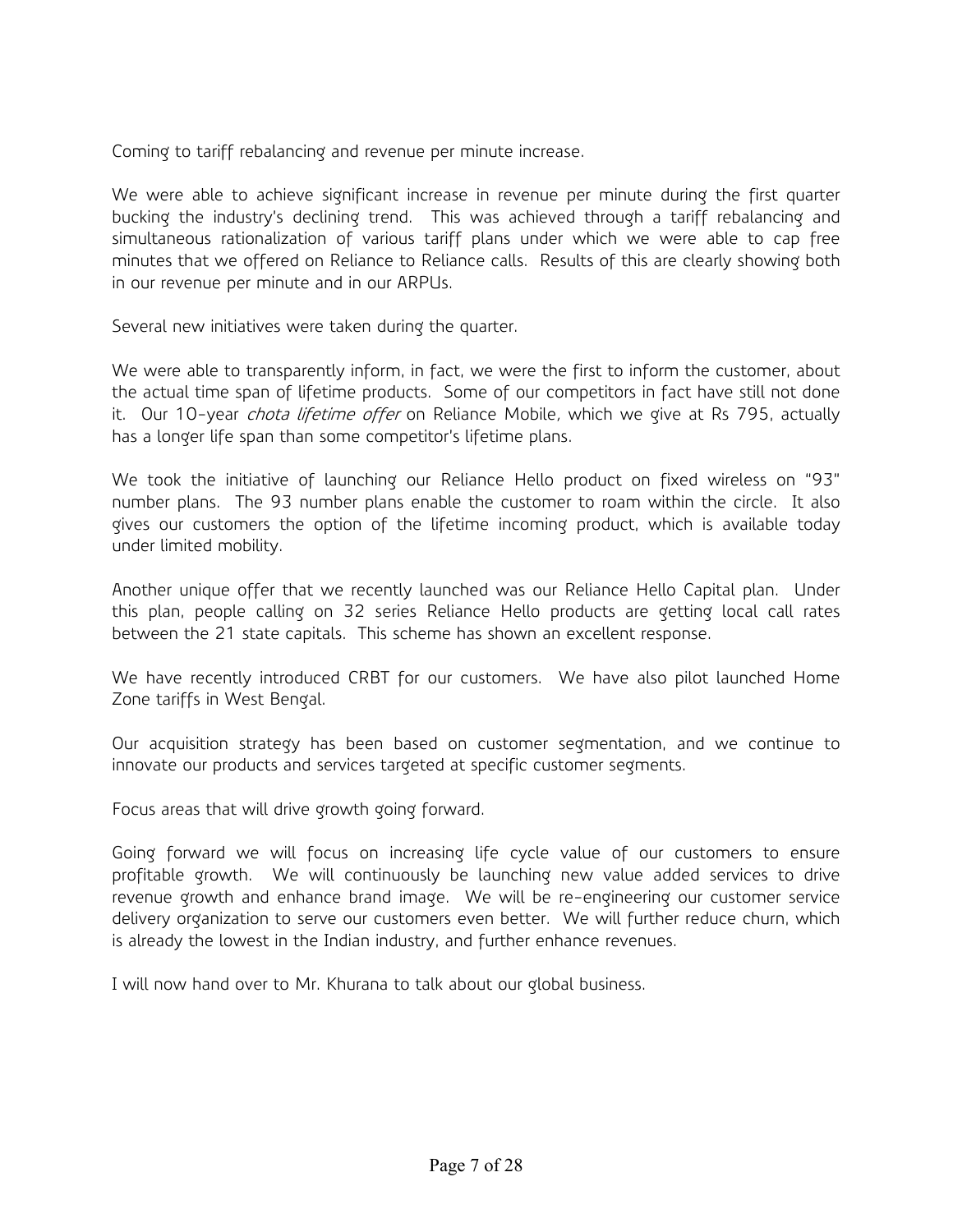Coming to tariff rebalancing and revenue per minute increase.

We were able to achieve significant increase in revenue per minute during the first quarter bucking the industry's declining trend. This was achieved through a tariff rebalancing and simultaneous rationalization of various tariff plans under which we were able to cap free minutes that we offered on Reliance to Reliance calls. Results of this are clearly showing both in our revenue per minute and in our ARPUs.

Several new initiatives were taken during the quarter.

We were able to transparently inform, in fact, we were the first to inform the customer, about the actual time span of lifetime products. Some of our competitors in fact have still not done it. Our 10-year *chota lifetime offer* on Reliance Mobile, which we give at Rs 795, actually has a longer life span than some competitor's lifetime plans.

We took the initiative of launching our Reliance Hello product on fixed wireless on "93" number plans. The 93 number plans enable the customer to roam within the circle. It also gives our customers the option of the lifetime incoming product, which is available today under limited mobility.

Another unique offer that we recently launched was our Reliance Hello Capital plan. Under this plan, people calling on 32 series Reliance Hello products are getting local call rates between the 21 state capitals. This scheme has shown an excellent response.

We have recently introduced CRBT for our customers. We have also pilot launched Home Zone tariffs in West Bengal.

Our acquisition strategy has been based on customer segmentation, and we continue to innovate our products and services targeted at specific customer segments.

Focus areas that will drive growth going forward.

Going forward we will focus on increasing life cycle value of our customers to ensure profitable growth. We will continuously be launching new value added services to drive revenue growth and enhance brand image. We will be re-engineering our customer service delivery organization to serve our customers even better. We will further reduce churn, which is already the lowest in the Indian industry, and further enhance revenues.

I will now hand over to Mr. Khurana to talk about our global business.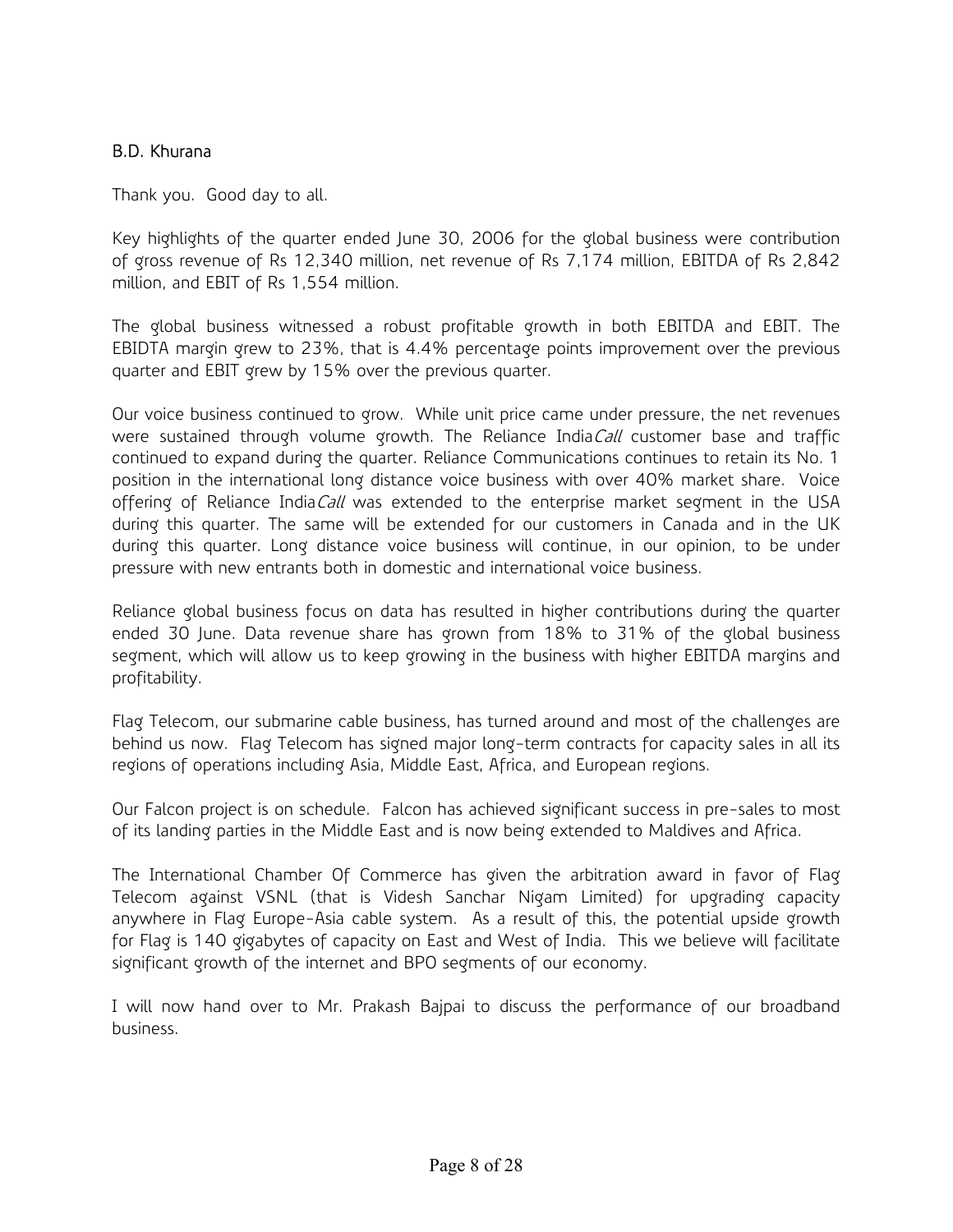## B.D. Khurana

Thank you. Good day to all.

Key highlights of the quarter ended June 30, 2006 for the global business were contribution of gross revenue of Rs 12,340 million, net revenue of Rs 7,174 million, EBITDA of Rs 2,842 million, and EBIT of Rs 1,554 million.

The global business witnessed a robust profitable growth in both EBITDA and EBIT. The EBIDTA margin grew to 23%, that is 4.4% percentage points improvement over the previous quarter and EBIT grew by 15% over the previous quarter.

Our voice business continued to grow. While unit price came under pressure, the net revenues were sustained through volume growth. The Reliance India Call customer base and traffic continued to expand during the quarter. Reliance Communications continues to retain its No. 1 position in the international long distance voice business with over 40% market share. Voice offering of Reliance IndiaCall was extended to the enterprise market segment in the USA during this quarter. The same will be extended for our customers in Canada and in the UK during this quarter. Long distance voice business will continue, in our opinion, to be under pressure with new entrants both in domestic and international voice business.

Reliance global business focus on data has resulted in higher contributions during the quarter ended 30 June. Data revenue share has grown from 18% to 31% of the global business segment, which will allow us to keep growing in the business with higher EBITDA margins and profitability.

Flag Telecom, our submarine cable business, has turned around and most of the challenges are behind us now. Flag Telecom has signed major long-term contracts for capacity sales in all its regions of operations including Asia, Middle East, Africa, and European regions.

Our Falcon project is on schedule. Falcon has achieved significant success in pre-sales to most of its landing parties in the Middle East and is now being extended to Maldives and Africa.

The International Chamber Of Commerce has given the arbitration award in favor of Flag Telecom against VSNL (that is Videsh Sanchar Nigam Limited) for upgrading capacity anywhere in Flag Europe-Asia cable system. As a result of this, the potential upside growth for Flag is 140 gigabytes of capacity on East and West of India. This we believe will facilitate significant growth of the internet and BPO segments of our economy.

I will now hand over to Mr. Prakash Bajpai to discuss the performance of our broadband business.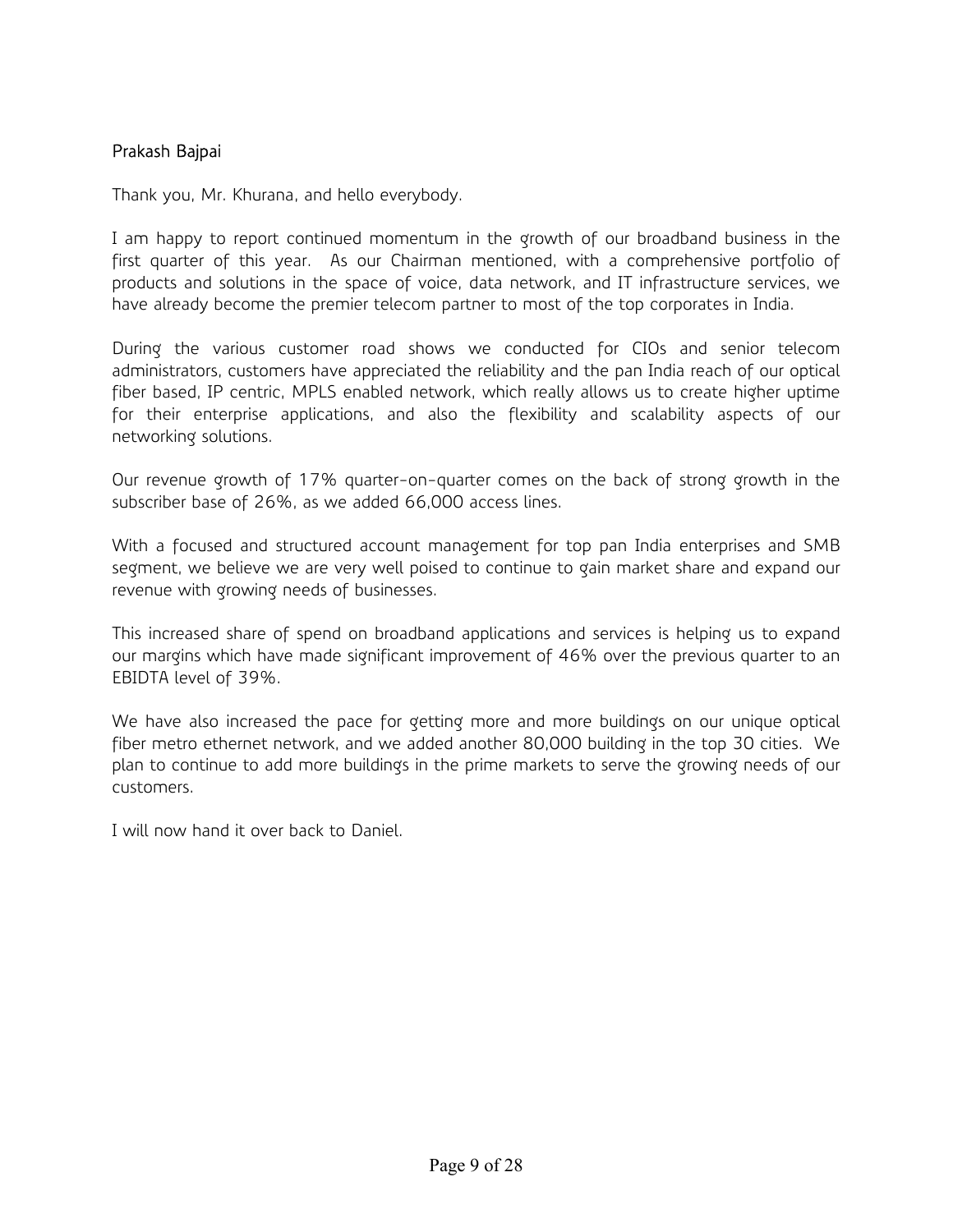## Prakash Bajpai

Thank you, Mr. Khurana, and hello everybody.

I am happy to report continued momentum in the growth of our broadband business in the first quarter of this year. As our Chairman mentioned, with a comprehensive portfolio of products and solutions in the space of voice, data network, and IT infrastructure services, we have already become the premier telecom partner to most of the top corporates in India.

During the various customer road shows we conducted for CIOs and senior telecom administrators, customers have appreciated the reliability and the pan India reach of our optical fiber based, IP centric, MPLS enabled network, which really allows us to create higher uptime for their enterprise applications, and also the flexibility and scalability aspects of our networking solutions.

Our revenue growth of 17% quarter-on-quarter comes on the back of strong growth in the subscriber base of 26%, as we added 66,000 access lines.

With a focused and structured account management for top pan India enterprises and SMB segment, we believe we are very well poised to continue to gain market share and expand our revenue with growing needs of businesses.

This increased share of spend on broadband applications and services is helping us to expand our margins which have made significant improvement of 46% over the previous quarter to an EBIDTA level of 39%.

We have also increased the pace for getting more and more buildings on our unique optical fiber metro ethernet network, and we added another 80,000 building in the top 30 cities. We plan to continue to add more buildings in the prime markets to serve the growing needs of our customers.

I will now hand it over back to Daniel.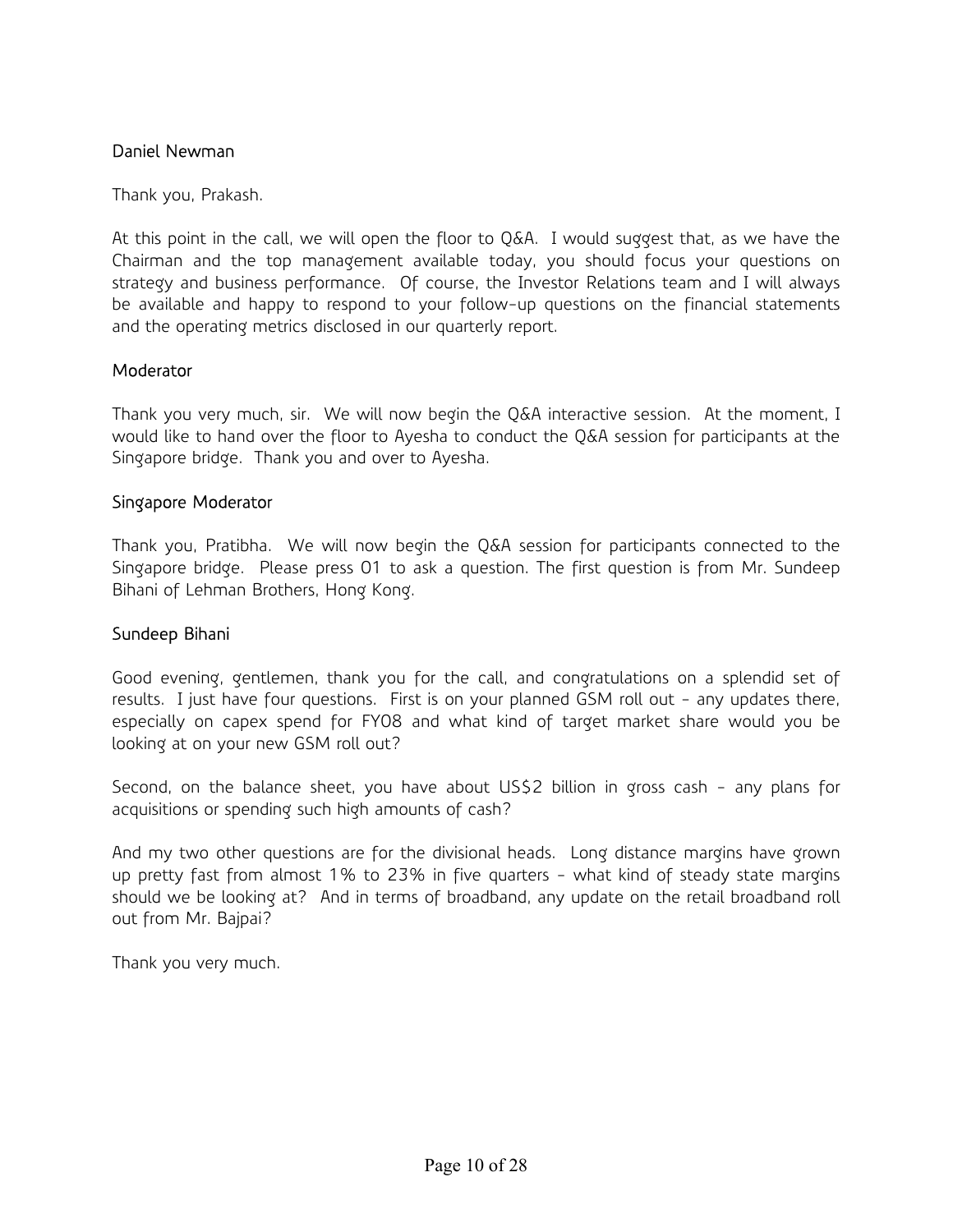#### Daniel Newman

Thank you, Prakash.

At this point in the call, we will open the floor to Q&A. I would suggest that, as we have the Chairman and the top management available today, you should focus your questions on strategy and business performance. Of course, the Investor Relations team and I will always be available and happy to respond to your follow-up questions on the financial statements and the operating metrics disclosed in our quarterly report.

#### **Moderator**

Thank you very much, sir. We will now begin the Q&A interactive session. At the moment, I would like to hand over the floor to Ayesha to conduct the Q&A session for participants at the Singapore bridge. Thank you and over to Ayesha.

#### Singapore Moderator

Thank you, Pratibha. We will now begin the Q&A session for participants connected to the Singapore bridge. Please press 01 to ask a question. The first question is from Mr. Sundeep Bihani of Lehman Brothers, Hong Kong.

#### Sundeep Bihani

Good evening, gentlemen, thank you for the call, and congratulations on a splendid set of results. I just have four questions. First is on your planned GSM roll out - any updates there, especially on capex spend for FY08 and what kind of target market share would you be looking at on your new GSM roll out?

Second, on the balance sheet, you have about US\$2 billion in gross cash - any plans for acquisitions or spending such high amounts of cash?

And my two other questions are for the divisional heads. Long distance margins have grown up pretty fast from almost 1% to 23% in five quarters - what kind of steady state margins should we be looking at? And in terms of broadband, any update on the retail broadband roll out from Mr. Bajpai?

Thank you very much.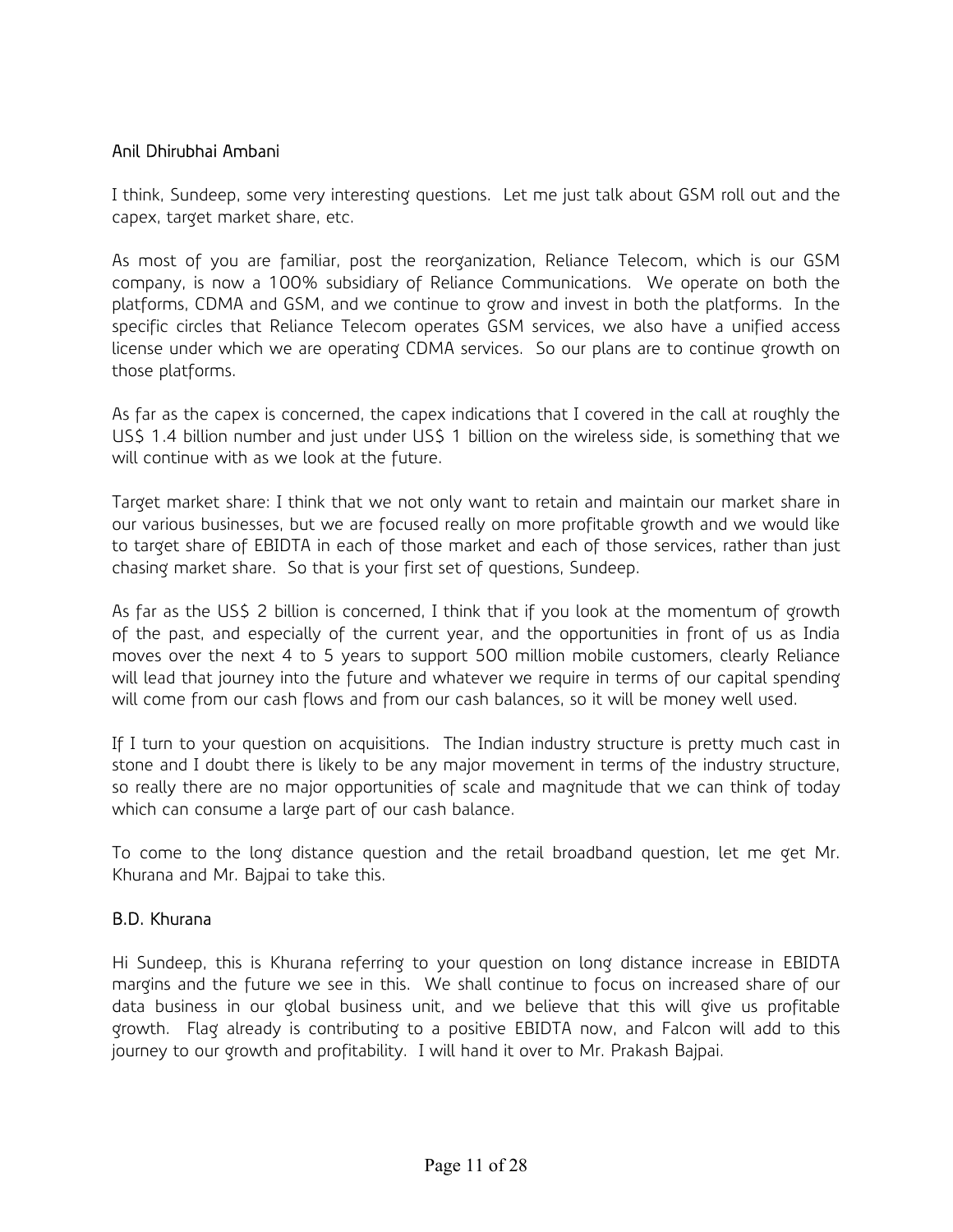## Anil Dhirubhai Ambani

I think, Sundeep, some very interesting questions. Let me just talk about GSM roll out and the capex, target market share, etc.

As most of you are familiar, post the reorganization, Reliance Telecom, which is our GSM company, is now a 100% subsidiary of Reliance Communications. We operate on both the platforms, CDMA and GSM, and we continue to grow and invest in both the platforms. In the specific circles that Reliance Telecom operates GSM services, we also have a unified access license under which we are operating CDMA services. So our plans are to continue growth on those platforms.

As far as the capex is concerned, the capex indications that I covered in the call at roughly the US\$ 1.4 billion number and just under US\$ 1 billion on the wireless side, is something that we will continue with as we look at the future.

Target market share: I think that we not only want to retain and maintain our market share in our various businesses, but we are focused really on more profitable growth and we would like to target share of EBIDTA in each of those market and each of those services, rather than just chasing market share. So that is your first set of questions, Sundeep.

As far as the US\$ 2 billion is concerned, I think that if you look at the momentum of growth of the past, and especially of the current year, and the opportunities in front of us as India moves over the next 4 to 5 years to support 500 million mobile customers, clearly Reliance will lead that journey into the future and whatever we require in terms of our capital spending will come from our cash flows and from our cash balances, so it will be money well used.

If I turn to your question on acquisitions. The Indian industry structure is pretty much cast in stone and I doubt there is likely to be any major movement in terms of the industry structure, so really there are no major opportunities of scale and magnitude that we can think of today which can consume a large part of our cash balance.

To come to the long distance question and the retail broadband question, let me get Mr. Khurana and Mr. Bajpai to take this.

### B.D. Khurana

Hi Sundeep, this is Khurana referring to your question on long distance increase in EBIDTA margins and the future we see in this. We shall continue to focus on increased share of our data business in our global business unit, and we believe that this will give us profitable growth. Flag already is contributing to a positive EBIDTA now, and Falcon will add to this journey to our growth and profitability. I will hand it over to Mr. Prakash Bajpai.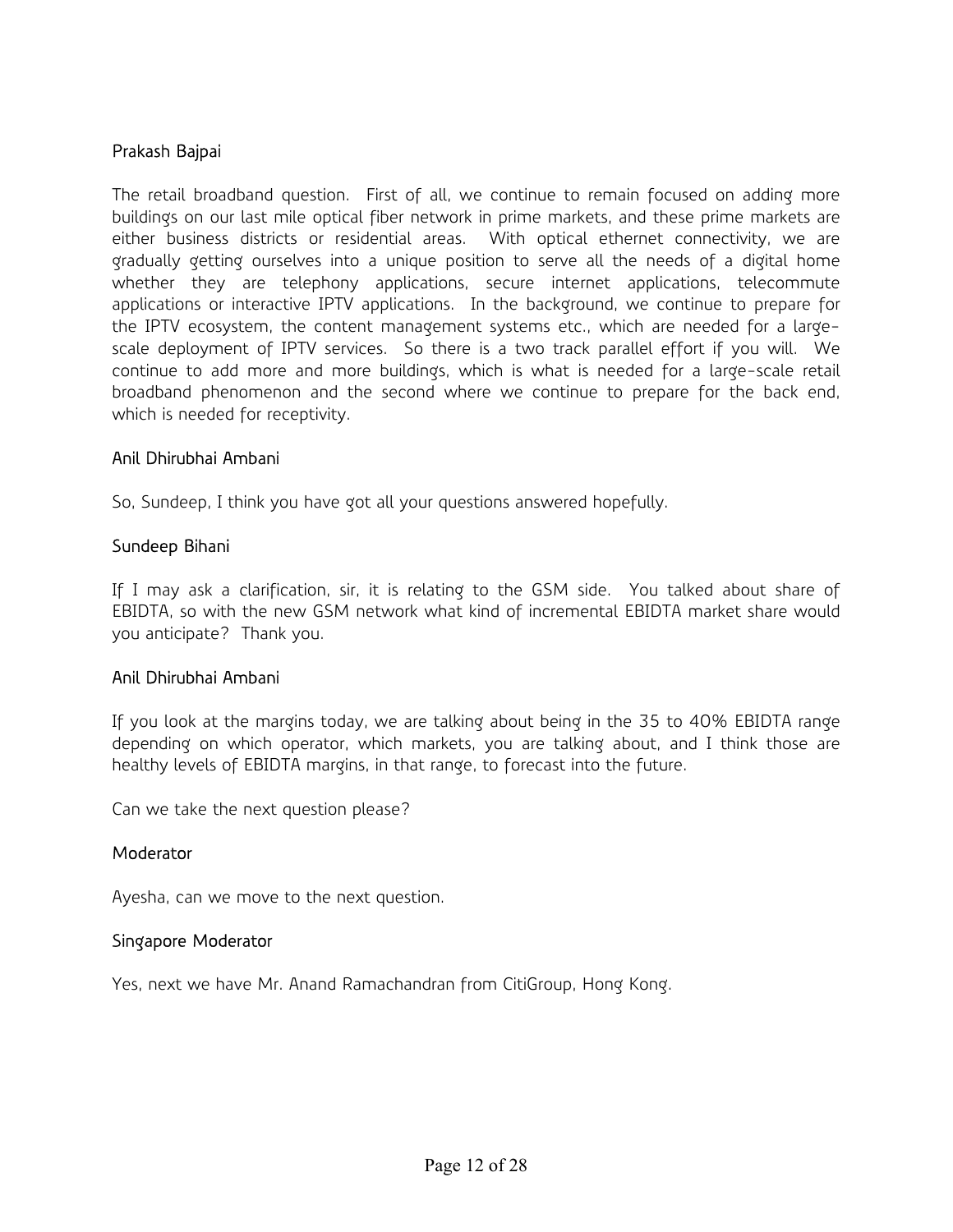#### Prakash Bajpai

The retail broadband question. First of all, we continue to remain focused on adding more buildings on our last mile optical fiber network in prime markets, and these prime markets are either business districts or residential areas. With optical ethernet connectivity, we are gradually getting ourselves into a unique position to serve all the needs of a digital home whether they are telephony applications, secure internet applications, telecommute applications or interactive IPTV applications. In the background, we continue to prepare for the IPTV ecosystem, the content management systems etc., which are needed for a largescale deployment of IPTV services. So there is a two track parallel effort if you will. We continue to add more and more buildings, which is what is needed for a large-scale retail broadband phenomenon and the second where we continue to prepare for the back end, which is needed for receptivity.

#### Anil Dhirubhai Ambani

So, Sundeep, I think you have got all your questions answered hopefully.

#### Sundeep Bihani

If I may ask a clarification, sir, it is relating to the GSM side. You talked about share of EBIDTA, so with the new GSM network what kind of incremental EBIDTA market share would you anticipate? Thank you.

#### Anil Dhirubhai Ambani

If you look at the margins today, we are talking about being in the 35 to 40% EBIDTA range depending on which operator, which markets, you are talking about, and I think those are healthy levels of EBIDTA margins, in that range, to forecast into the future.

Can we take the next question please?

#### **Moderator**

Ayesha, can we move to the next question.

#### Singapore Moderator

Yes, next we have Mr. Anand Ramachandran from CitiGroup, Hong Kong.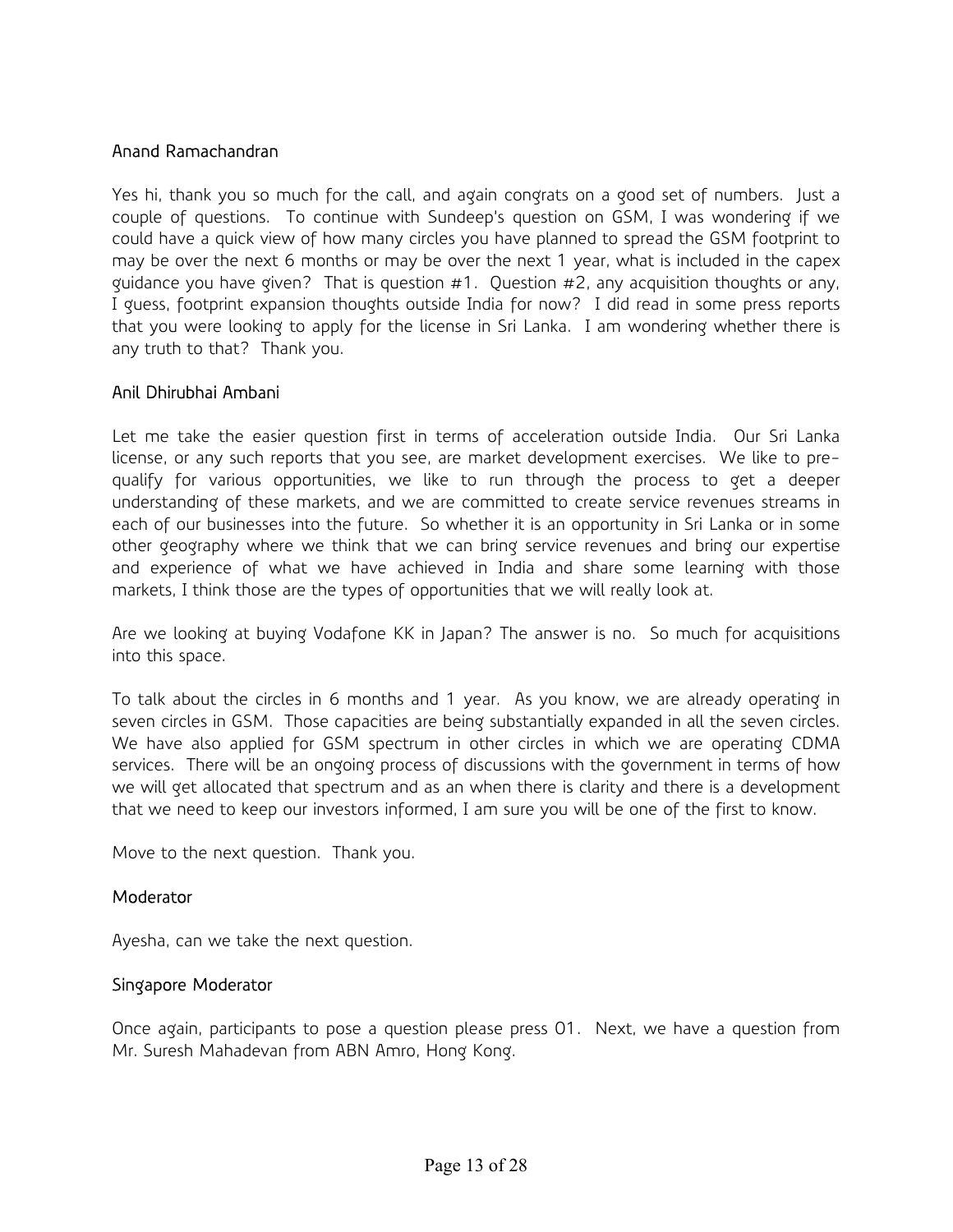# Anand Ramachandran

Yes hi, thank you so much for the call, and again congrats on a good set of numbers. Just a couple of questions. To continue with Sundeep's question on GSM, I was wondering if we could have a quick view of how many circles you have planned to spread the GSM footprint to may be over the next 6 months or may be over the next 1 year, what is included in the capex guidance you have given? That is question  $#1$ . Question  $#2$ , any acquisition thoughts or any, I guess, footprint expansion thoughts outside India for now? I did read in some press reports that you were looking to apply for the license in Sri Lanka. I am wondering whether there is any truth to that? Thank you.

#### Anil Dhirubhai Ambani

Let me take the easier question first in terms of acceleration outside India. Our Sri Lanka license, or any such reports that you see, are market development exercises. We like to prequalify for various opportunities, we like to run through the process to get a deeper understanding of these markets, and we are committed to create service revenues streams in each of our businesses into the future. So whether it is an opportunity in Sri Lanka or in some other geography where we think that we can bring service revenues and bring our expertise and experience of what we have achieved in India and share some learning with those markets, I think those are the types of opportunities that we will really look at.

Are we looking at buying Vodafone KK in Japan? The answer is no. So much for acquisitions into this space.

To talk about the circles in 6 months and 1 year. As you know, we are already operating in seven circles in GSM. Those capacities are being substantially expanded in all the seven circles. We have also applied for GSM spectrum in other circles in which we are operating CDMA services. There will be an ongoing process of discussions with the government in terms of how we will get allocated that spectrum and as an when there is clarity and there is a development that we need to keep our investors informed, I am sure you will be one of the first to know.

Move to the next question. Thank you.

#### Moderator

Ayesha, can we take the next question.

#### Singapore Moderator

Once again, participants to pose a question please press 01. Next, we have a question from Mr. Suresh Mahadevan from ABN Amro, Hong Kong.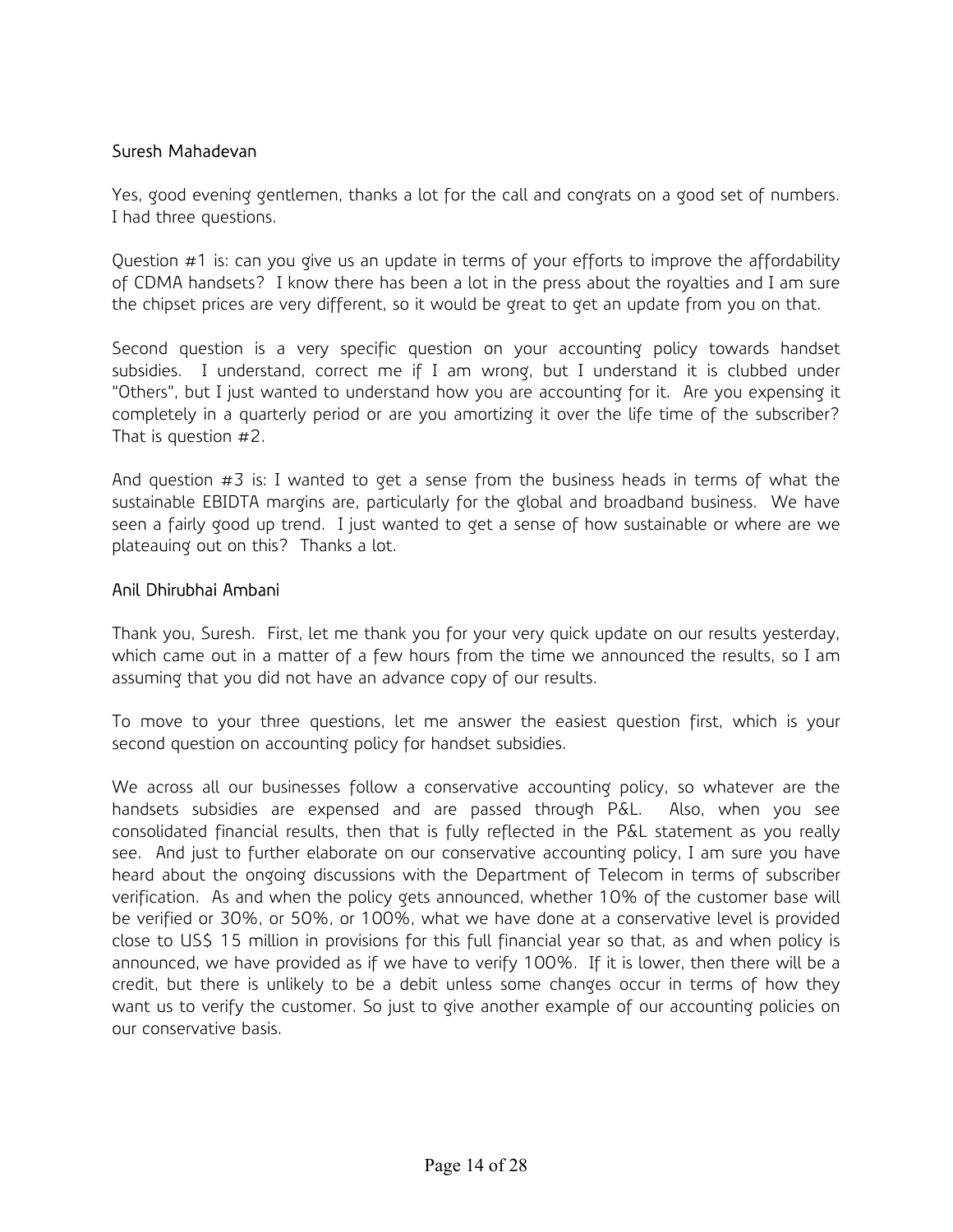### Suresh Mahadevan

Yes, good evening gentlemen, thanks a lot for the call and congrats on a good set of numbers. I had three questions.

Question #1 is: can you give us an update in terms of your efforts to improve the affordability of CDMA handsets? I know there has been a lot in the press about the royalties and I am sure the chipset prices are very different, so it would be great to get an update from you on that.

Second question is a very specific question on your accounting policy towards handset subsidies. I understand, correct me if I am wrong, but I understand it is clubbed under "Others", but I just wanted to understand how you are accounting for it. Are you expensing it completely in a quarterly period or are you amortizing it over the life time of the subscriber? That is question #2.

And question  $#3$  is: I wanted to get a sense from the business heads in terms of what the sustainable EBIDTA margins are, particularly for the global and broadband business. We have seen a fairly good up trend. I just wanted to get a sense of how sustainable or where are we plateauing out on this? Thanks a lot.

#### Anil Dhirubhai Ambani

Thank you, Suresh. First, let me thank you for your very quick update on our results yesterday, which came out in a matter of a few hours from the time we announced the results, so I am assuming that you did not have an advance copy of our results.

To move to your three questions, let me answer the easiest question first, which is your second question on accounting policy for handset subsidies.

We across all our businesses follow a conservative accounting policy, so whatever are the handsets subsidies are expensed and are passed through P&L. Also, when you see consolidated financial results, then that is fully reflected in the P&L statement as you really see. And just to further elaborate on our conservative accounting policy, I am sure you have heard about the ongoing discussions with the Department of Telecom in terms of subscriber verification. As and when the policy gets announced, whether 10% of the customer base will be verified or 30%, or 50%, or 100%, what we have done at a conservative level is provided close to US\$ 15 million in provisions for this full financial year so that, as and when policy is announced, we have provided as if we have to verify 100%. If it is lower, then there will be a credit, but there is unlikely to be a debit unless some changes occur in terms of how they want us to verify the customer. So just to give another example of our accounting policies on our conservative basis.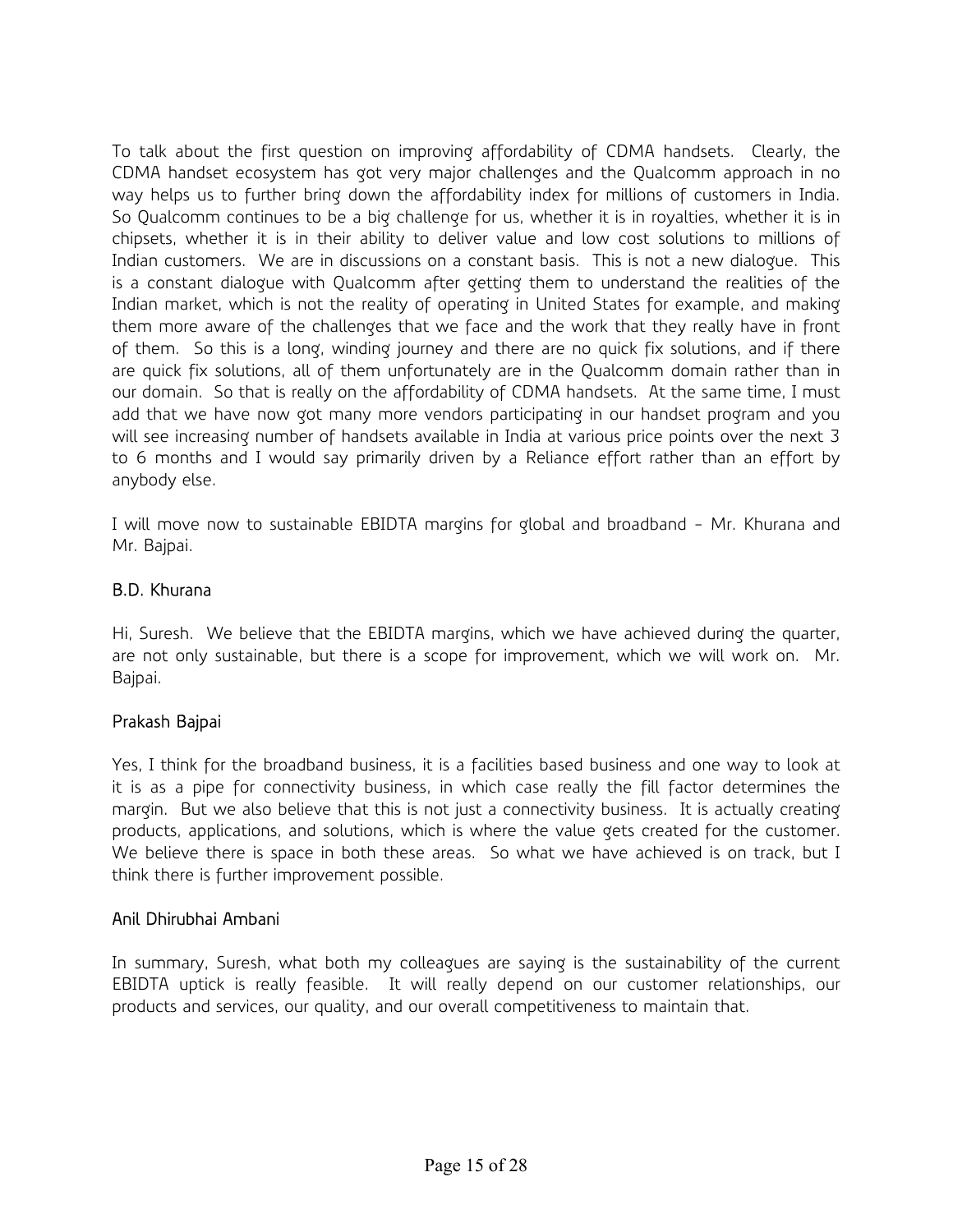To talk about the first question on improving affordability of CDMA handsets. Clearly, the CDMA handset ecosystem has got very major challenges and the Qualcomm approach in no way helps us to further bring down the affordability index for millions of customers in India. So Qualcomm continues to be a big challenge for us, whether it is in royalties, whether it is in chipsets, whether it is in their ability to deliver value and low cost solutions to millions of Indian customers. We are in discussions on a constant basis. This is not a new dialogue. This is a constant dialogue with Qualcomm after getting them to understand the realities of the Indian market, which is not the reality of operating in United States for example, and making them more aware of the challenges that we face and the work that they really have in front of them. So this is a long, winding journey and there are no quick fix solutions, and if there are quick fix solutions, all of them unfortunately are in the Qualcomm domain rather than in our domain. So that is really on the affordability of CDMA handsets. At the same time, I must add that we have now got many more vendors participating in our handset program and you will see increasing number of handsets available in India at various price points over the next 3 to 6 months and I would say primarily driven by a Reliance effort rather than an effort by anybody else.

I will move now to sustainable EBIDTA margins for global and broadband - Mr. Khurana and Mr. Bajpai.

# B.D. Khurana

Hi, Suresh. We believe that the EBIDTA margins, which we have achieved during the quarter, are not only sustainable, but there is a scope for improvement, which we will work on. Mr. Bajpai.

### Prakash Bajpai

Yes, I think for the broadband business, it is a facilities based business and one way to look at it is as a pipe for connectivity business, in which case really the fill factor determines the margin. But we also believe that this is not just a connectivity business. It is actually creating products, applications, and solutions, which is where the value gets created for the customer. We believe there is space in both these areas. So what we have achieved is on track, but I think there is further improvement possible.

### Anil Dhirubhai Ambani

In summary, Suresh, what both my colleagues are saying is the sustainability of the current EBIDTA uptick is really feasible. It will really depend on our customer relationships, our products and services, our quality, and our overall competitiveness to maintain that.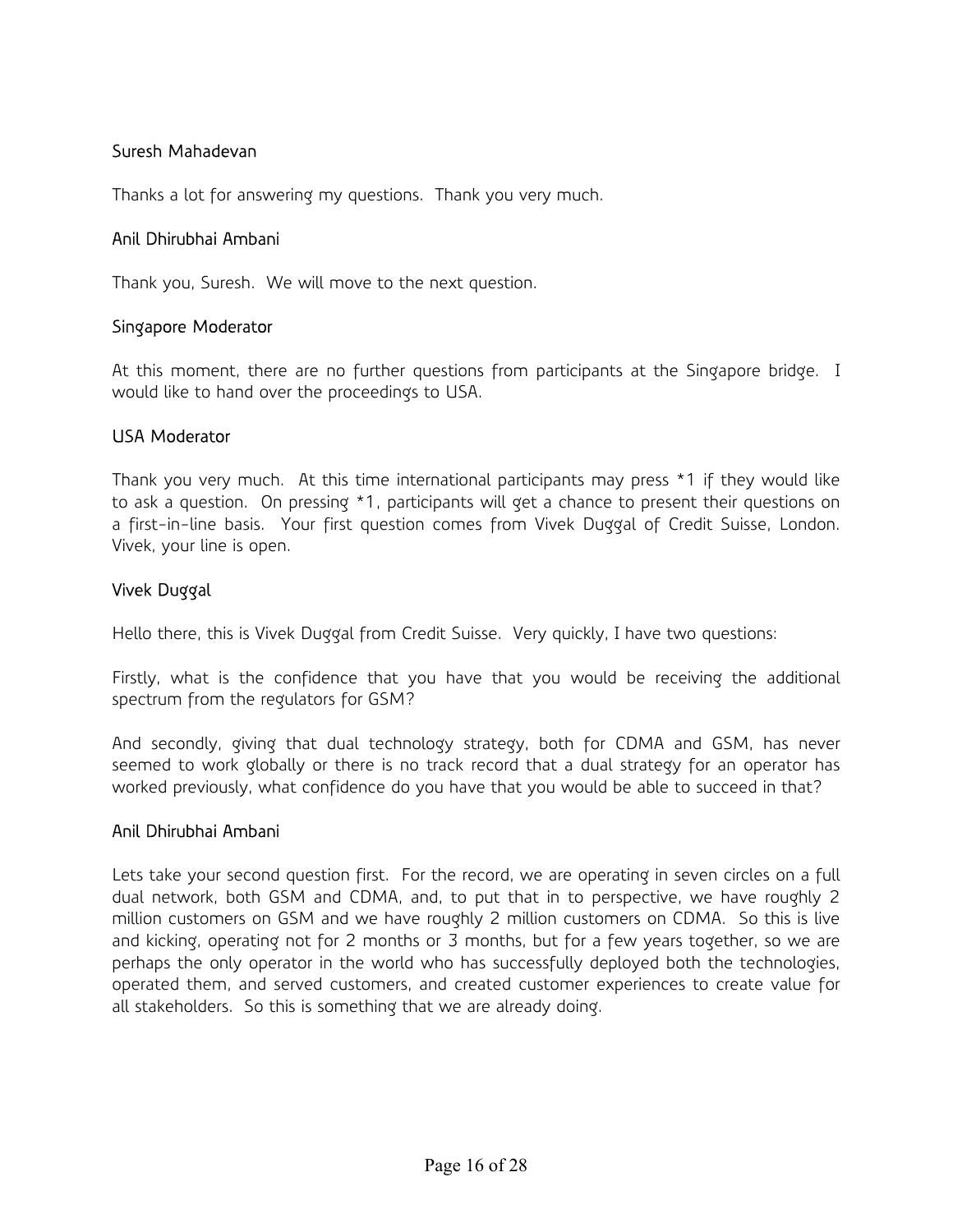# Suresh Mahadevan

Thanks a lot for answering my questions. Thank you very much.

#### Anil Dhirubhai Ambani

Thank you, Suresh. We will move to the next question.

#### Singapore Moderator

At this moment, there are no further questions from participants at the Singapore bridge. I would like to hand over the proceedings to USA.

#### USA Moderator

Thank you very much. At this time international participants may press \*1 if they would like to ask a question. On pressing \*1, participants will get a chance to present their questions on a first-in-line basis. Your first question comes from Vivek Duggal of Credit Suisse, London. Vivek, your line is open.

### Vivek Duggal

Hello there, this is Vivek Duggal from Credit Suisse. Very quickly, I have two questions:

Firstly, what is the confidence that you have that you would be receiving the additional spectrum from the regulators for GSM?

And secondly, giving that dual technology strategy, both for CDMA and GSM, has never seemed to work globally or there is no track record that a dual strategy for an operator has worked previously, what confidence do you have that you would be able to succeed in that?

#### Anil Dhirubhai Ambani

Lets take your second question first. For the record, we are operating in seven circles on a full dual network, both GSM and CDMA, and, to put that in to perspective, we have roughly 2 million customers on GSM and we have roughly 2 million customers on CDMA. So this is live and kicking, operating not for 2 months or 3 months, but for a few years together, so we are perhaps the only operator in the world who has successfully deployed both the technologies, operated them, and served customers, and created customer experiences to create value for all stakeholders. So this is something that we are already doing.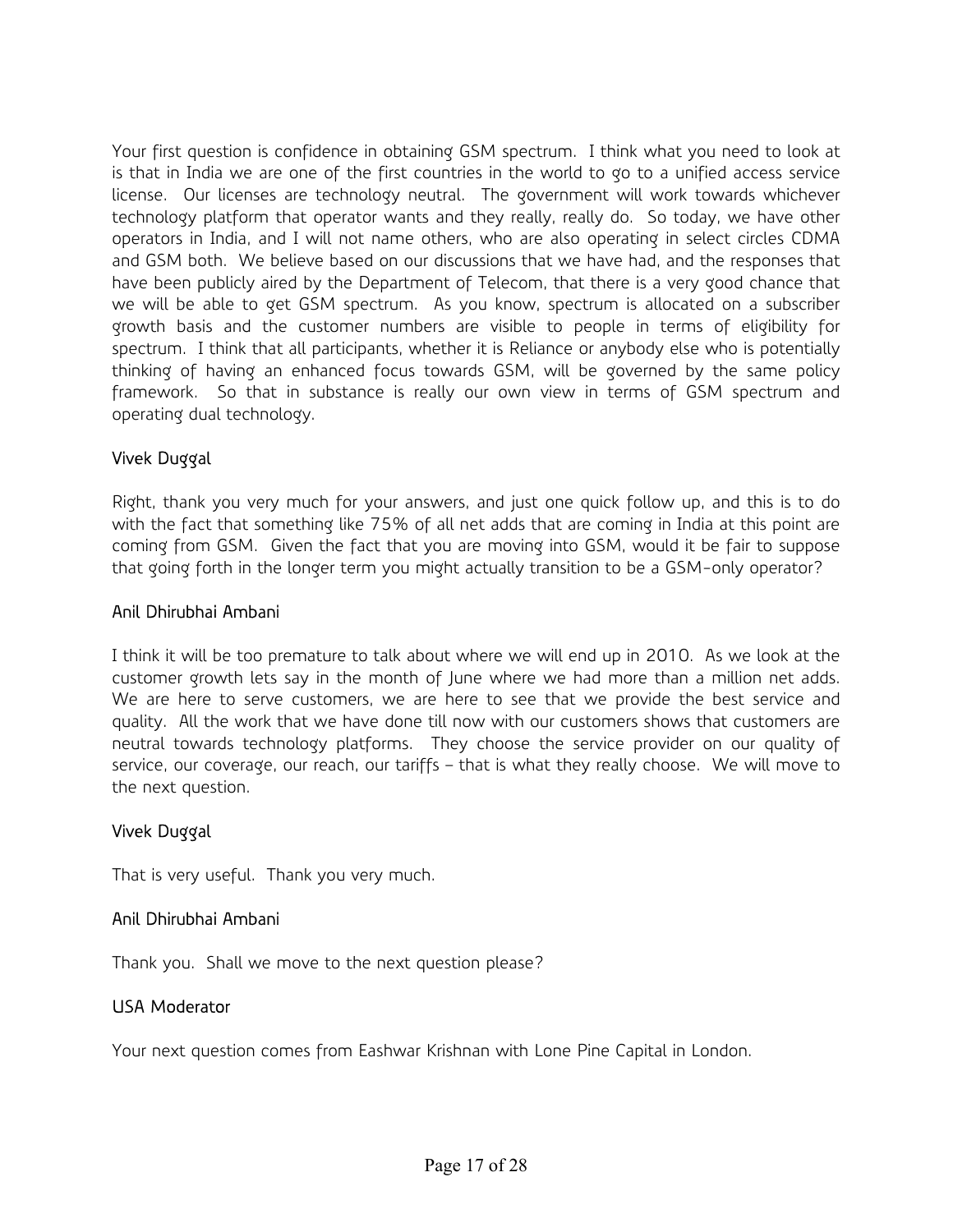Your first question is confidence in obtaining GSM spectrum. I think what you need to look at is that in India we are one of the first countries in the world to go to a unified access service license. Our licenses are technology neutral. The government will work towards whichever technology platform that operator wants and they really, really do. So today, we have other operators in India, and I will not name others, who are also operating in select circles CDMA and GSM both. We believe based on our discussions that we have had, and the responses that have been publicly aired by the Department of Telecom, that there is a very good chance that we will be able to get GSM spectrum. As you know, spectrum is allocated on a subscriber growth basis and the customer numbers are visible to people in terms of eligibility for spectrum. I think that all participants, whether it is Reliance or anybody else who is potentially thinking of having an enhanced focus towards GSM, will be governed by the same policy framework. So that in substance is really our own view in terms of GSM spectrum and operating dual technology.

# Vivek Duggal

Right, thank you very much for your answers, and just one quick follow up, and this is to do with the fact that something like 75% of all net adds that are coming in India at this point are coming from GSM. Given the fact that you are moving into GSM, would it be fair to suppose that going forth in the longer term you might actually transition to be a GSM-only operator?

#### Anil Dhirubhai Ambani

I think it will be too premature to talk about where we will end up in 2010. As we look at the customer growth lets say in the month of June where we had more than a million net adds. We are here to serve customers, we are here to see that we provide the best service and quality. All the work that we have done till now with our customers shows that customers are neutral towards technology platforms. They choose the service provider on our quality of service, our coverage, our reach, our tariffs – that is what they really choose. We will move to the next question.

### Vivek Duggal

That is very useful. Thank you very much.

### Anil Dhirubhai Ambani

Thank you. Shall we move to the next question please?

#### USA Moderator

Your next question comes from Eashwar Krishnan with Lone Pine Capital in London.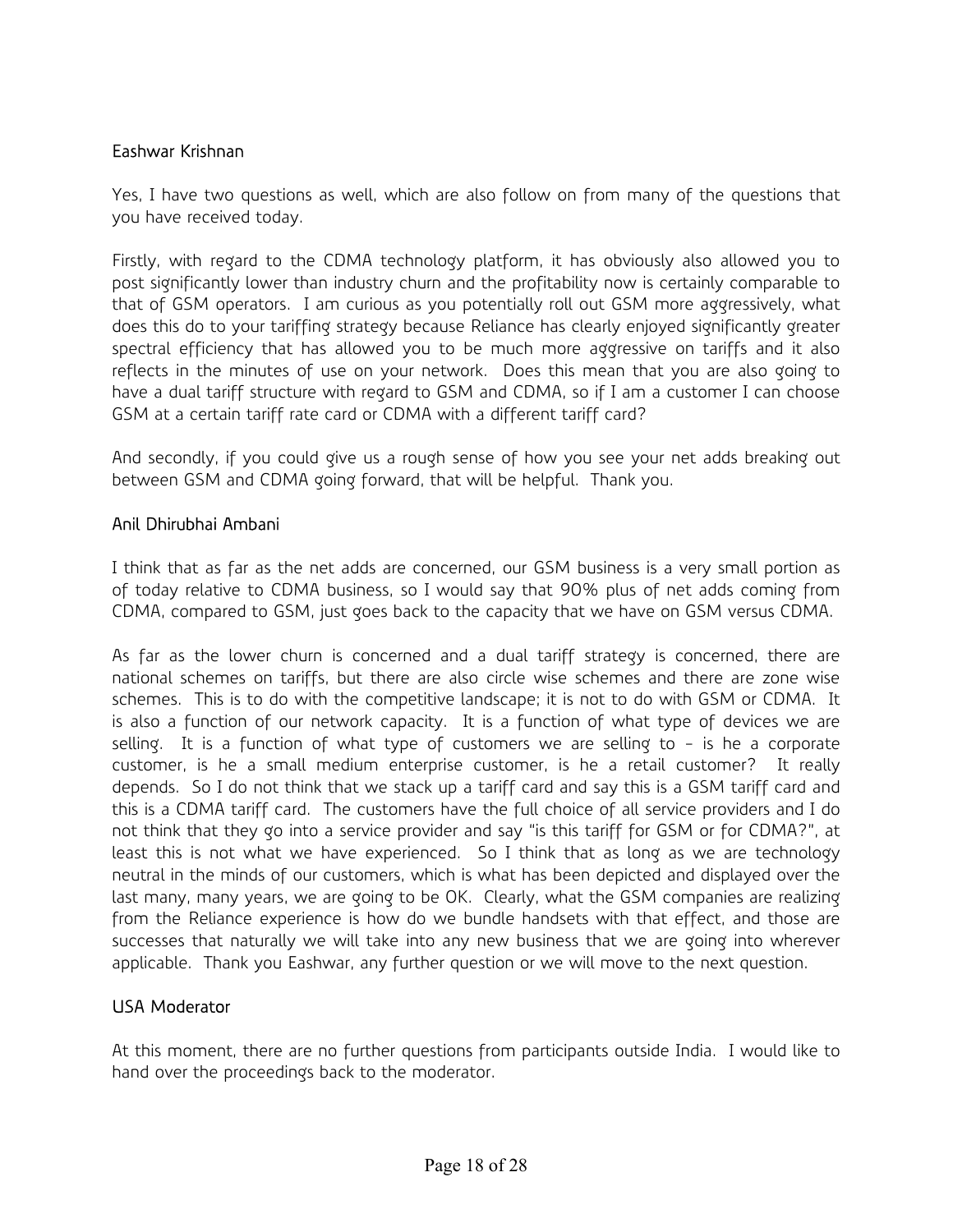## Eashwar Krishnan

Yes, I have two questions as well, which are also follow on from many of the questions that you have received today.

Firstly, with regard to the CDMA technology platform, it has obviously also allowed you to post significantly lower than industry churn and the profitability now is certainly comparable to that of GSM operators. I am curious as you potentially roll out GSM more aggressively, what does this do to your tariffing strategy because Reliance has clearly enjoyed significantly greater spectral efficiency that has allowed you to be much more aggressive on tariffs and it also reflects in the minutes of use on your network. Does this mean that you are also going to have a dual tariff structure with regard to GSM and CDMA, so if I am a customer I can choose GSM at a certain tariff rate card or CDMA with a different tariff card?

And secondly, if you could give us a rough sense of how you see your net adds breaking out between GSM and CDMA going forward, that will be helpful. Thank you.

### Anil Dhirubhai Ambani

I think that as far as the net adds are concerned, our GSM business is a very small portion as of today relative to CDMA business, so I would say that 90% plus of net adds coming from CDMA, compared to GSM, just goes back to the capacity that we have on GSM versus CDMA.

As far as the lower churn is concerned and a dual tariff strategy is concerned, there are national schemes on tariffs, but there are also circle wise schemes and there are zone wise schemes. This is to do with the competitive landscape; it is not to do with GSM or CDMA. It is also a function of our network capacity. It is a function of what type of devices we are selling. It is a function of what type of customers we are selling to - is he a corporate customer, is he a small medium enterprise customer, is he a retail customer? It really depends. So I do not think that we stack up a tariff card and say this is a GSM tariff card and this is a CDMA tariff card. The customers have the full choice of all service providers and I do not think that they go into a service provider and say "is this tariff for GSM or for CDMA?", at least this is not what we have experienced. So I think that as long as we are technology neutral in the minds of our customers, which is what has been depicted and displayed over the last many, many years, we are going to be OK. Clearly, what the GSM companies are realizing from the Reliance experience is how do we bundle handsets with that effect, and those are successes that naturally we will take into any new business that we are going into wherever applicable. Thank you Eashwar, any further question or we will move to the next question.

### USA Moderator

At this moment, there are no further questions from participants outside India. I would like to hand over the proceedings back to the moderator.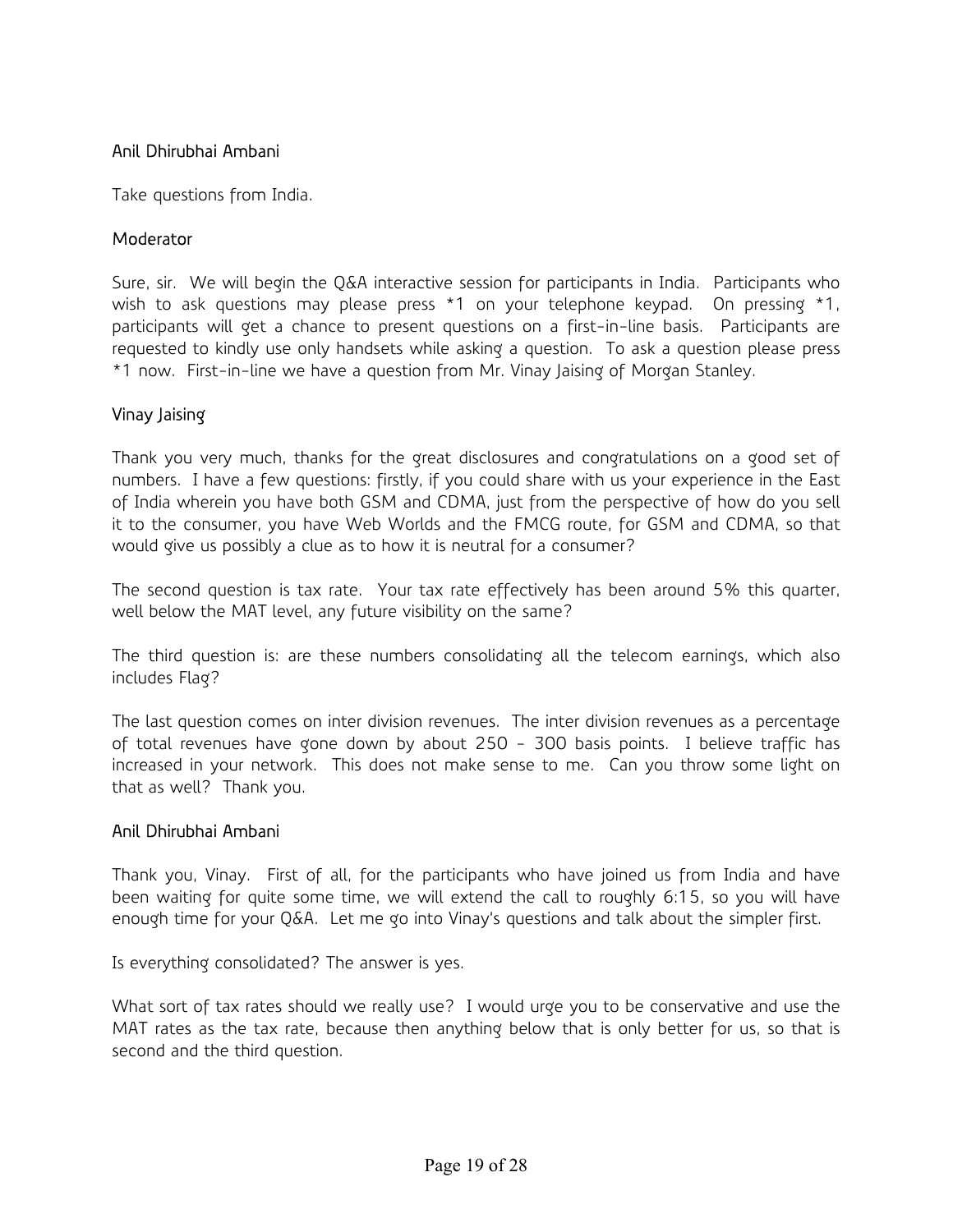# Anil Dhirubhai Ambani

Take questions from India.

#### **Moderator**

Sure, sir. We will begin the Q&A interactive session for participants in India. Participants who wish to ask questions may please press \*1 on your telephone keypad. On pressing \*1, participants will get a chance to present questions on a first-in-line basis. Participants are requested to kindly use only handsets while asking a question. To ask a question please press \*1 now. First-in-line we have a question from Mr. Vinay Jaising of Morgan Stanley.

#### Vinay Jaising

Thank you very much, thanks for the great disclosures and congratulations on a good set of numbers. I have a few questions: firstly, if you could share with us your experience in the East of India wherein you have both GSM and CDMA, just from the perspective of how do you sell it to the consumer, you have Web Worlds and the FMCG route, for GSM and CDMA, so that would give us possibly a clue as to how it is neutral for a consumer?

The second question is tax rate. Your tax rate effectively has been around 5% this quarter, well below the MAT level, any future visibility on the same?

The third question is: are these numbers consolidating all the telecom earnings, which also includes Flag?

The last question comes on inter division revenues. The inter division revenues as a percentage of total revenues have gone down by about 250 - 300 basis points. I believe traffic has increased in your network. This does not make sense to me. Can you throw some light on that as well? Thank you.

#### Anil Dhirubhai Ambani

Thank you, Vinay. First of all, for the participants who have joined us from India and have been waiting for quite some time, we will extend the call to roughly 6:15, so you will have enough time for your Q&A. Let me go into Vinay's questions and talk about the simpler first.

Is everything consolidated? The answer is yes.

What sort of tax rates should we really use? I would urge you to be conservative and use the MAT rates as the tax rate, because then anything below that is only better for us, so that is second and the third question.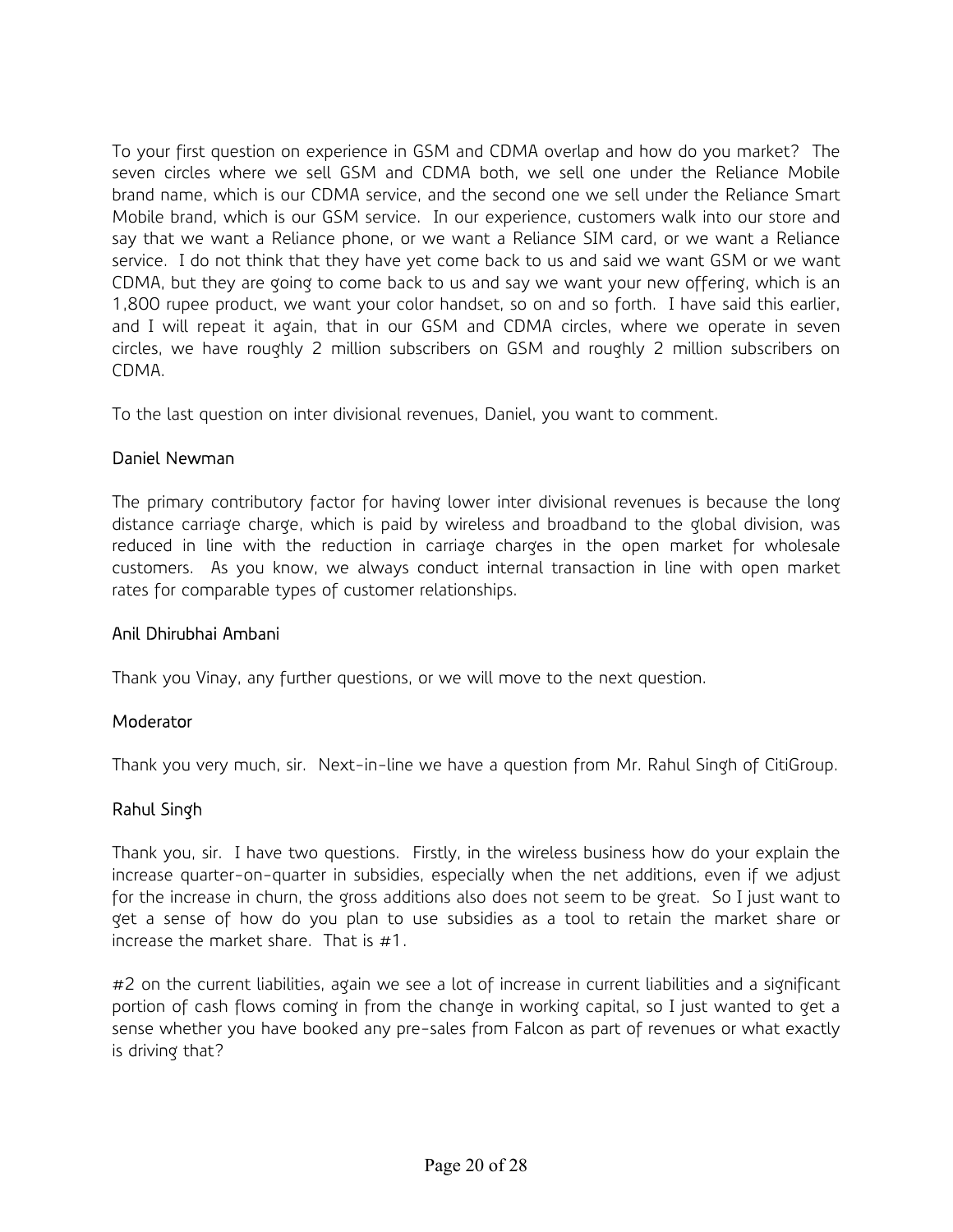To your first question on experience in GSM and CDMA overlap and how do you market? The seven circles where we sell GSM and CDMA both, we sell one under the Reliance Mobile brand name, which is our CDMA service, and the second one we sell under the Reliance Smart Mobile brand, which is our GSM service. In our experience, customers walk into our store and say that we want a Reliance phone, or we want a Reliance SIM card, or we want a Reliance service. I do not think that they have yet come back to us and said we want GSM or we want CDMA, but they are going to come back to us and say we want your new offering, which is an 1,800 rupee product, we want your color handset, so on and so forth. I have said this earlier, and I will repeat it again, that in our GSM and CDMA circles, where we operate in seven circles, we have roughly 2 million subscribers on GSM and roughly 2 million subscribers on CDMA.

To the last question on inter divisional revenues, Daniel, you want to comment.

### Daniel Newman

The primary contributory factor for having lower inter divisional revenues is because the long distance carriage charge, which is paid by wireless and broadband to the global division, was reduced in line with the reduction in carriage charges in the open market for wholesale customers. As you know, we always conduct internal transaction in line with open market rates for comparable types of customer relationships.

### Anil Dhirubhai Ambani

Thank you Vinay, any further questions, or we will move to the next question.

### **Moderator**

Thank you very much, sir. Next-in-line we have a question from Mr. Rahul Singh of CitiGroup.

### Rahul Singh

Thank you, sir. I have two questions. Firstly, in the wireless business how do your explain the increase quarter-on-quarter in subsidies, especially when the net additions, even if we adjust for the increase in churn, the gross additions also does not seem to be great. So I just want to get a sense of how do you plan to use subsidies as a tool to retain the market share or increase the market share. That is #1.

#2 on the current liabilities, again we see a lot of increase in current liabilities and a significant portion of cash flows coming in from the change in working capital, so I just wanted to get a sense whether you have booked any pre-sales from Falcon as part of revenues or what exactly is driving that?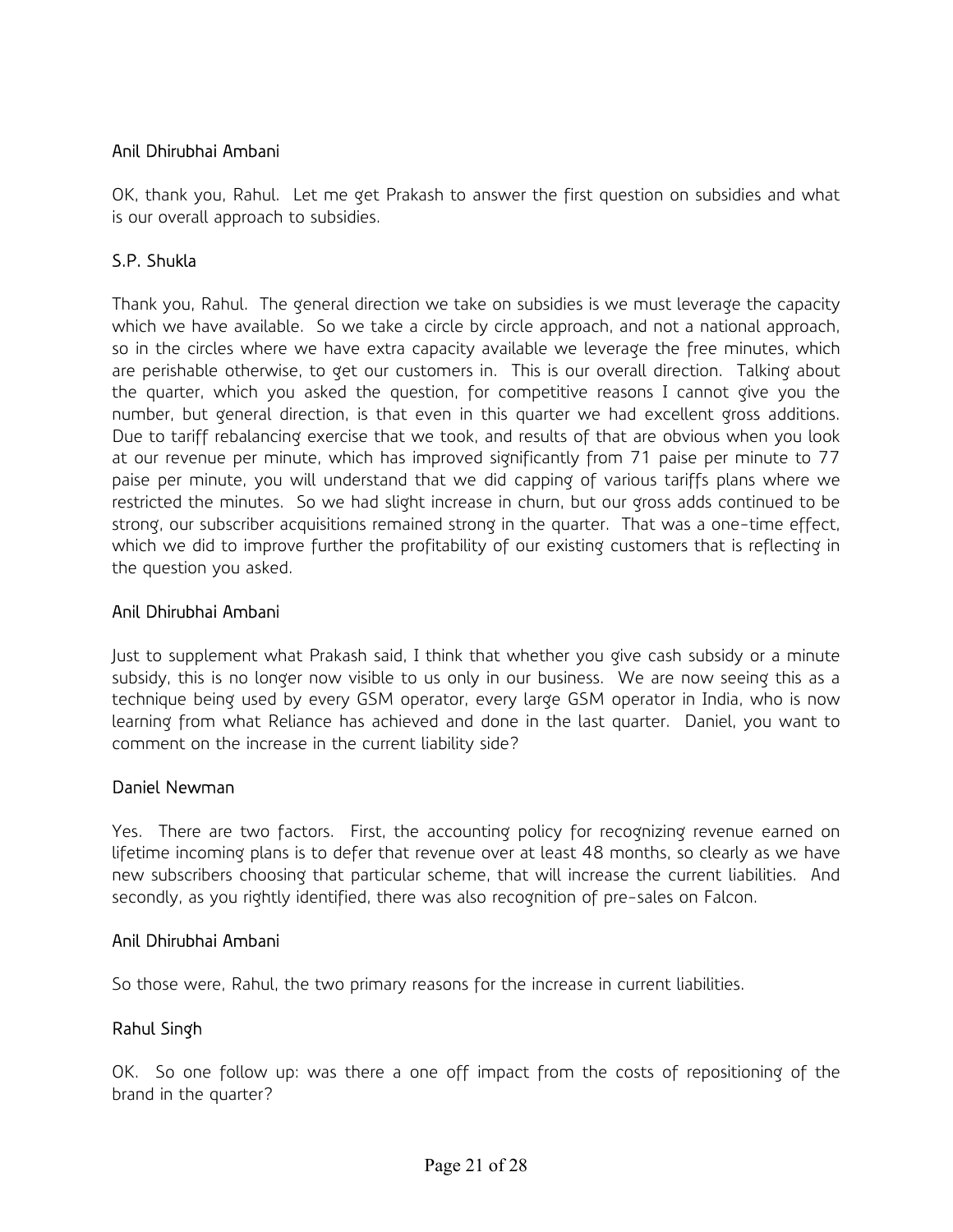# Anil Dhirubhai Ambani

OK, thank you, Rahul. Let me get Prakash to answer the first question on subsidies and what is our overall approach to subsidies.

# S.P. Shukla

Thank you, Rahul. The general direction we take on subsidies is we must leverage the capacity which we have available. So we take a circle by circle approach, and not a national approach, so in the circles where we have extra capacity available we leverage the free minutes, which are perishable otherwise, to get our customers in. This is our overall direction. Talking about the quarter, which you asked the question, for competitive reasons I cannot give you the number, but general direction, is that even in this quarter we had excellent gross additions. Due to tariff rebalancing exercise that we took, and results of that are obvious when you look at our revenue per minute, which has improved significantly from 71 paise per minute to 77 paise per minute, you will understand that we did capping of various tariffs plans where we restricted the minutes. So we had slight increase in churn, but our gross adds continued to be strong, our subscriber acquisitions remained strong in the quarter. That was a one-time effect, which we did to improve further the profitability of our existing customers that is reflecting in the question you asked.

#### Anil Dhirubhai Ambani

Just to supplement what Prakash said, I think that whether you give cash subsidy or a minute subsidy, this is no longer now visible to us only in our business. We are now seeing this as a technique being used by every GSM operator, every large GSM operator in India, who is now learning from what Reliance has achieved and done in the last quarter. Daniel, you want to comment on the increase in the current liability side?

#### Daniel Newman

Yes. There are two factors. First, the accounting policy for recognizing revenue earned on lifetime incoming plans is to defer that revenue over at least 48 months, so clearly as we have new subscribers choosing that particular scheme, that will increase the current liabilities. And secondly, as you rightly identified, there was also recognition of pre-sales on Falcon.

#### Anil Dhirubhai Ambani

So those were, Rahul, the two primary reasons for the increase in current liabilities.

### Rahul Singh

OK. So one follow up: was there a one off impact from the costs of repositioning of the brand in the quarter?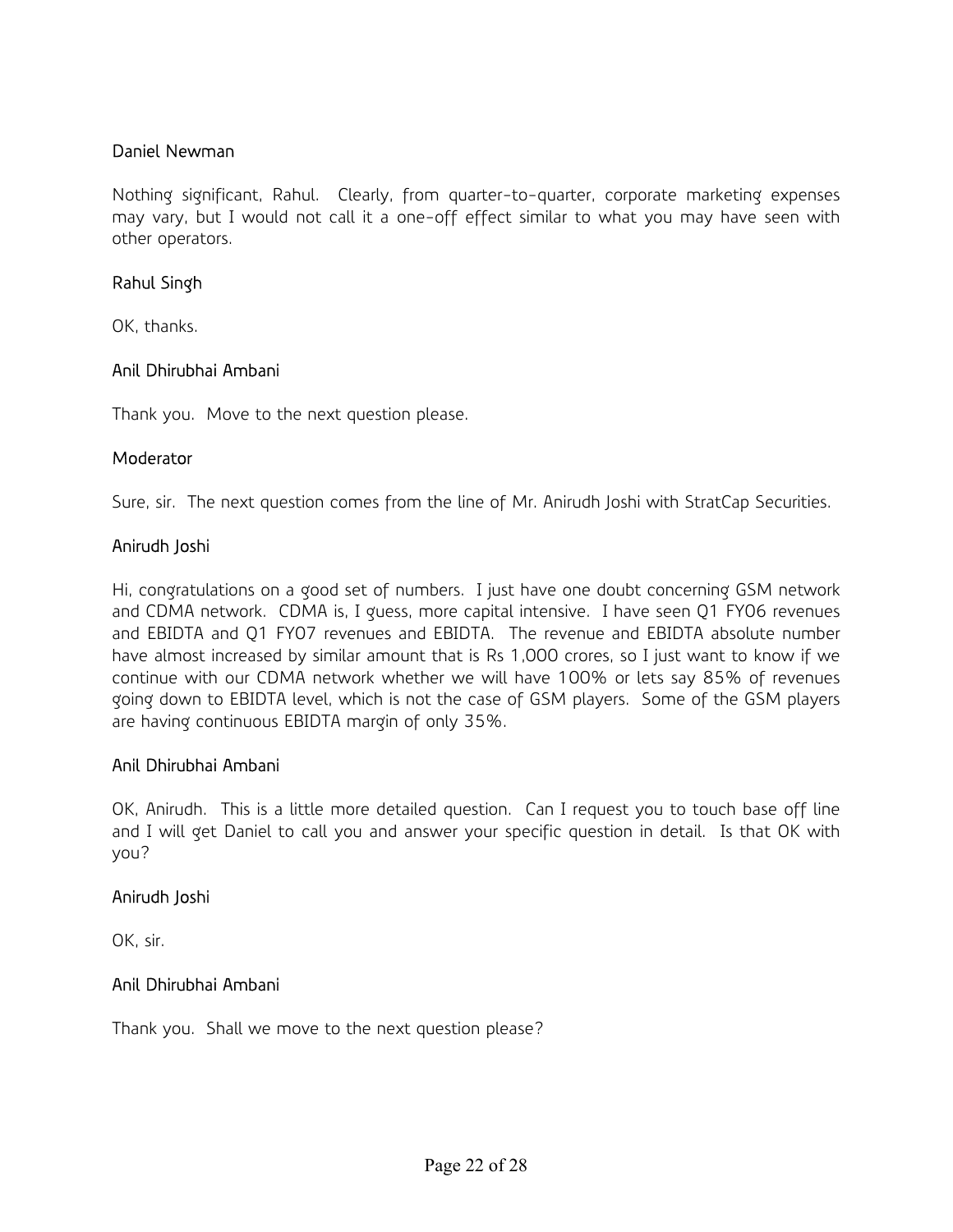#### Daniel Newman

Nothing significant, Rahul. Clearly, from quarter-to-quarter, corporate marketing expenses may vary, but I would not call it a one-off effect similar to what you may have seen with other operators.

#### Rahul Singh

OK, thanks.

#### Anil Dhirubhai Ambani

Thank you. Move to the next question please.

#### **Moderator**

Sure, sir. The next question comes from the line of Mr. Anirudh Joshi with StratCap Securities.

#### Anirudh Joshi

Hi, congratulations on a good set of numbers. I just have one doubt concerning GSM network and CDMA network. CDMA is, I guess, more capital intensive. I have seen Q1 FY06 revenues and EBIDTA and Q1 FY07 revenues and EBIDTA. The revenue and EBIDTA absolute number have almost increased by similar amount that is Rs 1,000 crores, so I just want to know if we continue with our CDMA network whether we will have 100% or lets say 85% of revenues going down to EBIDTA level, which is not the case of GSM players. Some of the GSM players are having continuous EBIDTA margin of only 35%.

#### Anil Dhirubhai Ambani

OK, Anirudh. This is a little more detailed question. Can I request you to touch base off line and I will get Daniel to call you and answer your specific question in detail. Is that OK with you?

#### Anirudh Joshi

OK, sir.

### Anil Dhirubhai Ambani

Thank you. Shall we move to the next question please?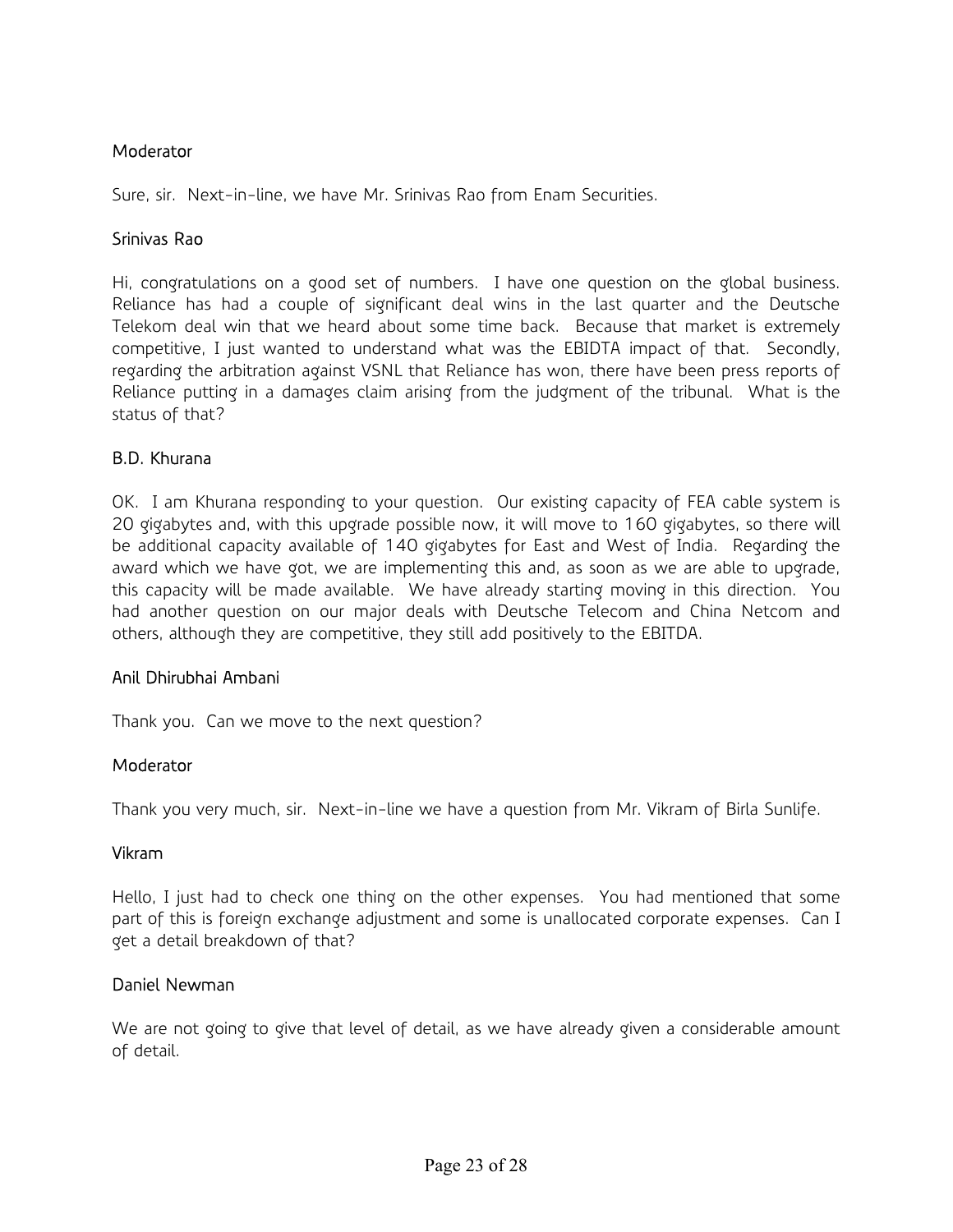### **Moderator**

Sure, sir. Next-in-line, we have Mr. Srinivas Rao from Enam Securities.

#### Srinivas Rao

Hi, congratulations on a good set of numbers. I have one question on the global business. Reliance has had a couple of significant deal wins in the last quarter and the Deutsche Telekom deal win that we heard about some time back. Because that market is extremely competitive, I just wanted to understand what was the EBIDTA impact of that. Secondly, regarding the arbitration against VSNL that Reliance has won, there have been press reports of Reliance putting in a damages claim arising from the judgment of the tribunal. What is the status of that?

### B.D. Khurana

OK. I am Khurana responding to your question. Our existing capacity of FEA cable system is 20 gigabytes and, with this upgrade possible now, it will move to 160 gigabytes, so there will be additional capacity available of 140 gigabytes for East and West of India. Regarding the award which we have got, we are implementing this and, as soon as we are able to upgrade, this capacity will be made available. We have already starting moving in this direction. You had another question on our major deals with Deutsche Telecom and China Netcom and others, although they are competitive, they still add positively to the EBITDA.

### Anil Dhirubhai Ambani

Thank you. Can we move to the next question?

#### Moderator

Thank you very much, sir. Next-in-line we have a question from Mr. Vikram of Birla Sunlife.

#### Vikram

Hello, I just had to check one thing on the other expenses. You had mentioned that some part of this is foreign exchange adjustment and some is unallocated corporate expenses. Can I get a detail breakdown of that?

#### Daniel Newman

We are not going to give that level of detail, as we have already given a considerable amount of detail.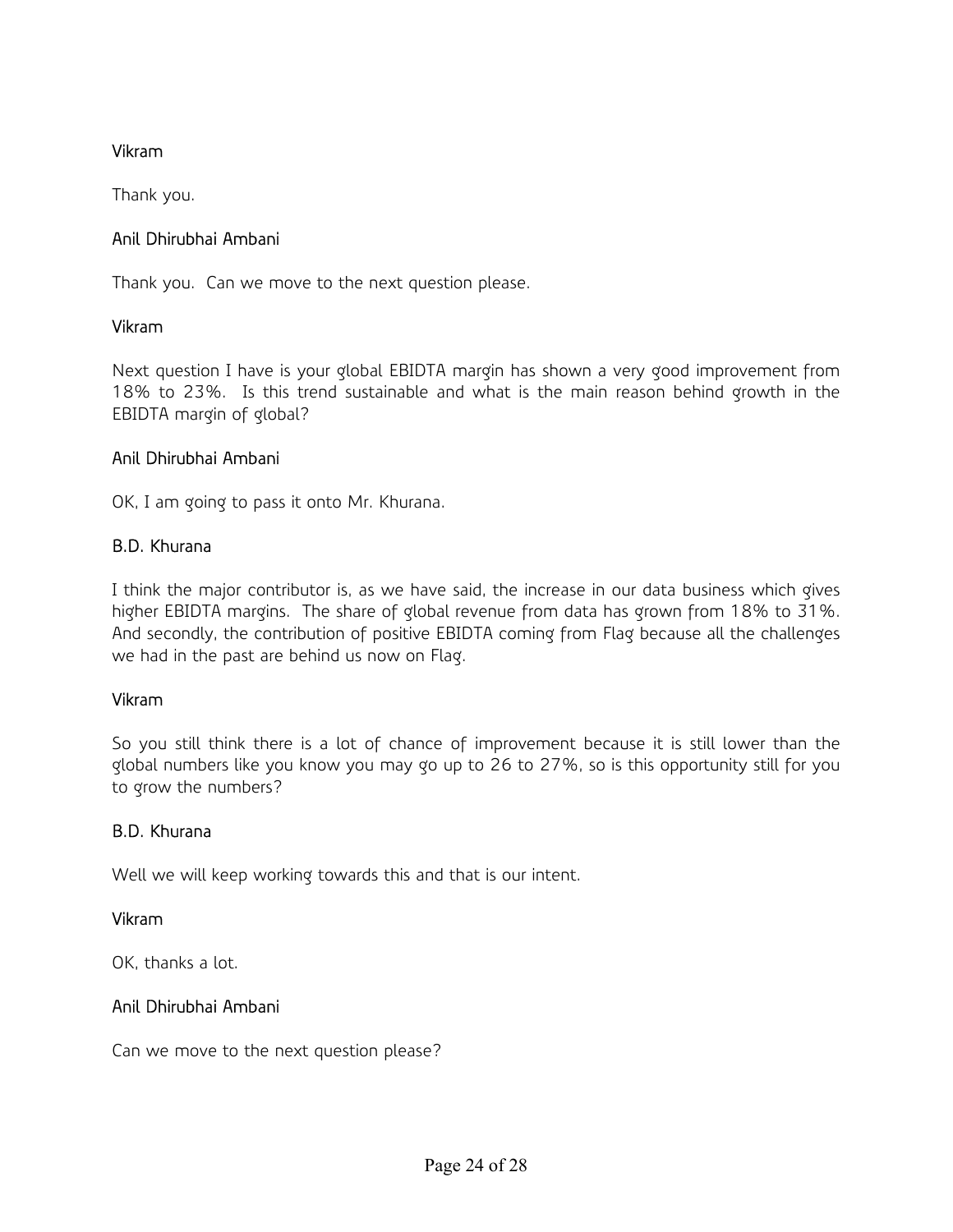# Vikram

Thank you.

# Anil Dhirubhai Ambani

Thank you. Can we move to the next question please.

### Vikram

Next question I have is your global EBIDTA margin has shown a very good improvement from 18% to 23%. Is this trend sustainable and what is the main reason behind growth in the EBIDTA margin of global?

### Anil Dhirubhai Ambani

OK, I am going to pass it onto Mr. Khurana.

### B.D. Khurana

I think the major contributor is, as we have said, the increase in our data business which gives higher EBIDTA margins. The share of global revenue from data has grown from 18% to 31%. And secondly, the contribution of positive EBIDTA coming from Flag because all the challenges we had in the past are behind us now on Flag.

### Vikram

So you still think there is a lot of chance of improvement because it is still lower than the global numbers like you know you may go up to 26 to 27%, so is this opportunity still for you to grow the numbers?

### B.D. Khurana

Well we will keep working towards this and that is our intent.

### Vikram

OK, thanks a lot.

### Anil Dhirubhai Ambani

Can we move to the next question please?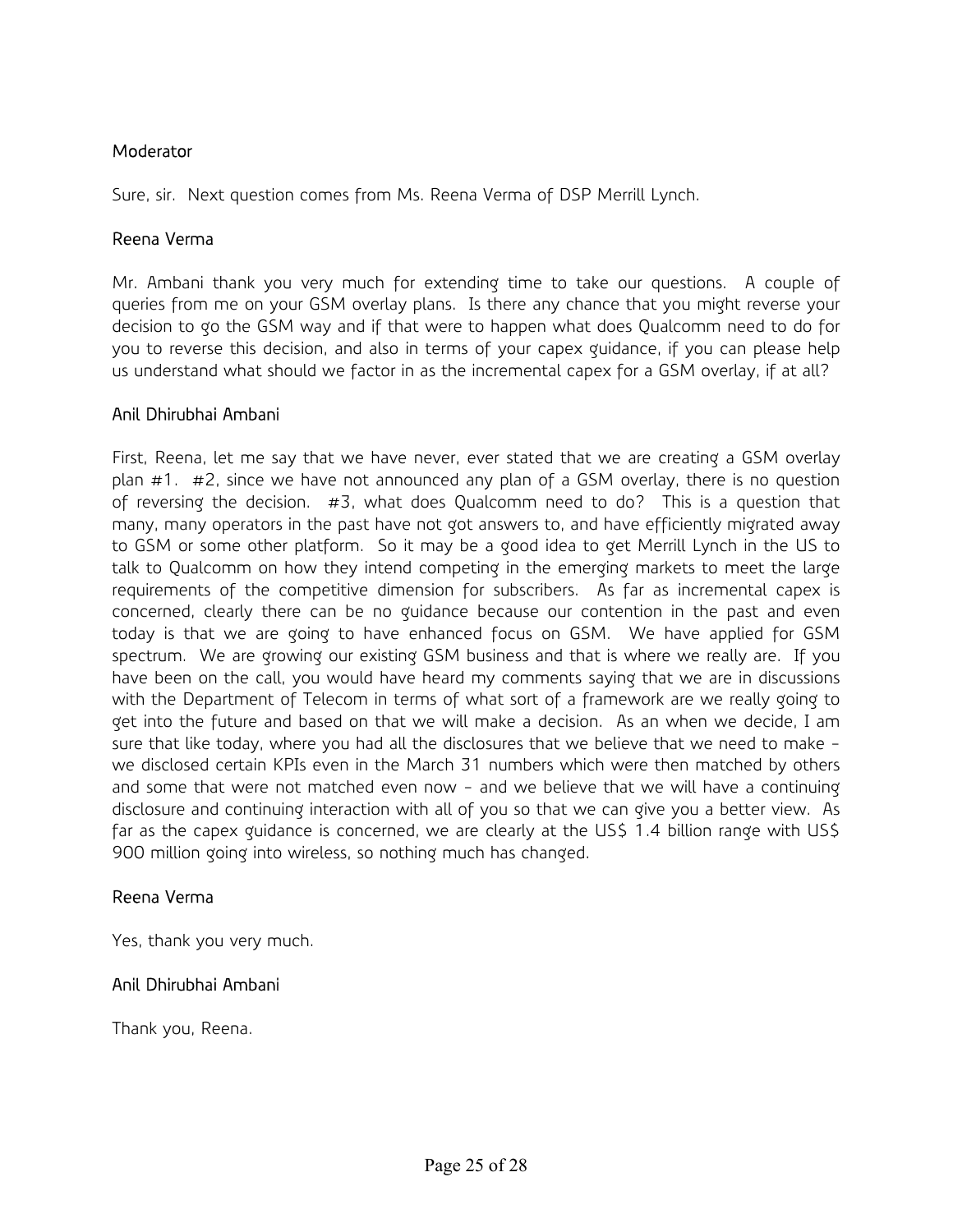## **Moderator**

Sure, sir. Next question comes from Ms. Reena Verma of DSP Merrill Lynch.

#### Reena Verma

Mr. Ambani thank you very much for extending time to take our questions. A couple of queries from me on your GSM overlay plans. Is there any chance that you might reverse your decision to go the GSM way and if that were to happen what does Qualcomm need to do for you to reverse this decision, and also in terms of your capex guidance, if you can please help us understand what should we factor in as the incremental capex for a GSM overlay, if at all?

### Anil Dhirubhai Ambani

First, Reena, let me say that we have never, ever stated that we are creating a GSM overlay plan #1. #2, since we have not announced any plan of a GSM overlay, there is no question of reversing the decision. #3, what does Qualcomm need to do? This is a question that many, many operators in the past have not got answers to, and have efficiently migrated away to GSM or some other platform. So it may be a good idea to get Merrill Lynch in the US to talk to Qualcomm on how they intend competing in the emerging markets to meet the large requirements of the competitive dimension for subscribers. As far as incremental capex is concerned, clearly there can be no guidance because our contention in the past and even today is that we are going to have enhanced focus on GSM. We have applied for GSM spectrum. We are growing our existing GSM business and that is where we really are. If you have been on the call, you would have heard my comments saying that we are in discussions with the Department of Telecom in terms of what sort of a framework are we really going to get into the future and based on that we will make a decision. As an when we decide, I am sure that like today, where you had all the disclosures that we believe that we need to make we disclosed certain KPIs even in the March 31 numbers which were then matched by others and some that were not matched even now - and we believe that we will have a continuing disclosure and continuing interaction with all of you so that we can give you a better view. As far as the capex guidance is concerned, we are clearly at the US\$ 1.4 billion range with US\$ 900 million going into wireless, so nothing much has changed.

### Reena Verma

Yes, thank you very much.

### Anil Dhirubhai Ambani

Thank you, Reena.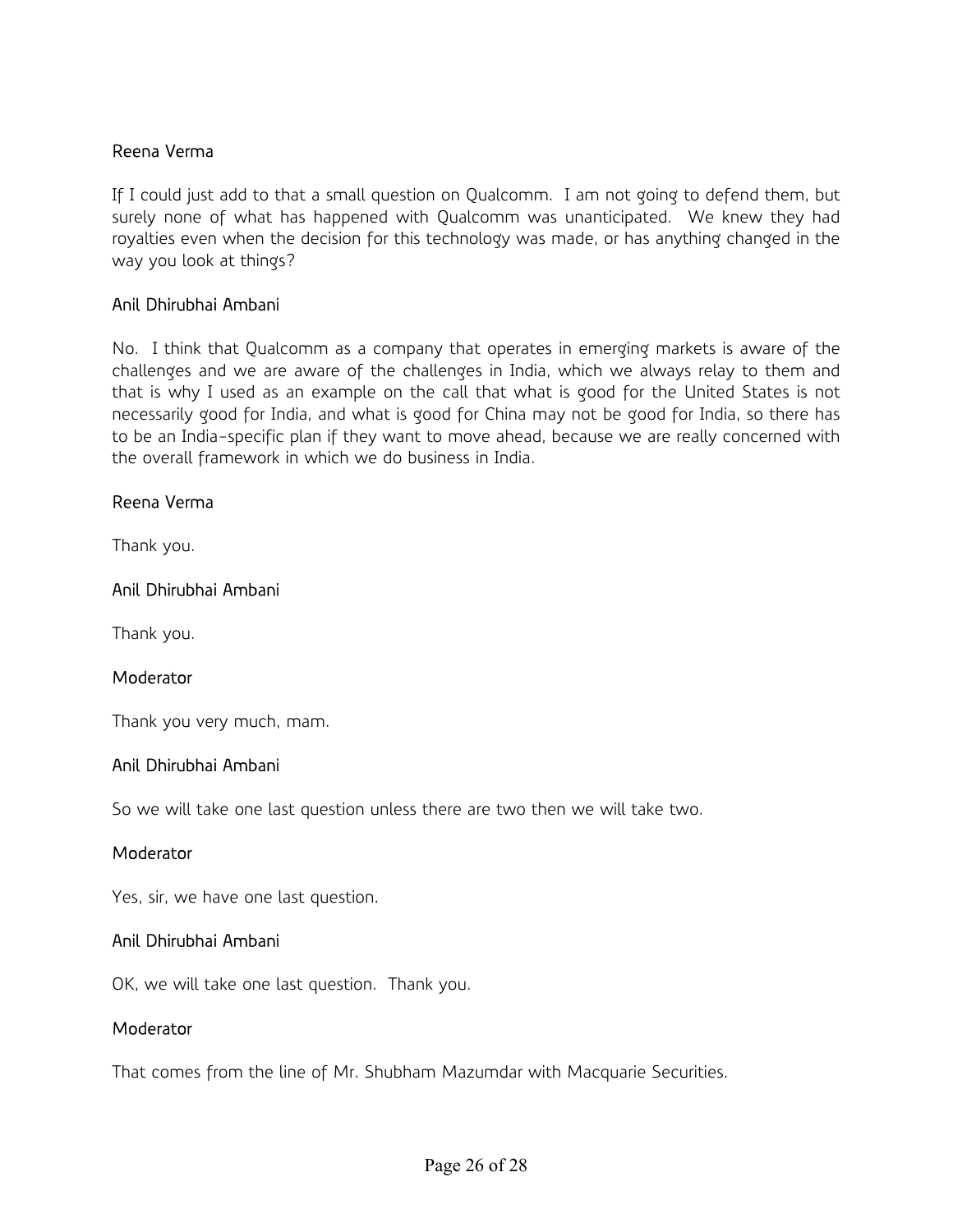### Reena Verma

If I could just add to that a small question on Qualcomm. I am not going to defend them, but surely none of what has happened with Qualcomm was unanticipated. We knew they had royalties even when the decision for this technology was made, or has anything changed in the way you look at things?

#### Anil Dhirubhai Ambani

No. I think that Qualcomm as a company that operates in emerging markets is aware of the challenges and we are aware of the challenges in India, which we always relay to them and that is why I used as an example on the call that what is good for the United States is not necessarily good for India, and what is good for China may not be good for India, so there has to be an India-specific plan if they want to move ahead, because we are really concerned with the overall framework in which we do business in India.

#### Reena Verma

Thank you.

#### Anil Dhirubhai Ambani

Thank you.

#### **Moderator**

Thank you very much, mam.

#### Anil Dhirubhai Ambani

So we will take one last question unless there are two then we will take two.

#### **Moderator**

Yes, sir, we have one last question.

#### Anil Dhirubhai Ambani

OK, we will take one last question. Thank you.

#### Moderator

That comes from the line of Mr. Shubham Mazumdar with Macquarie Securities.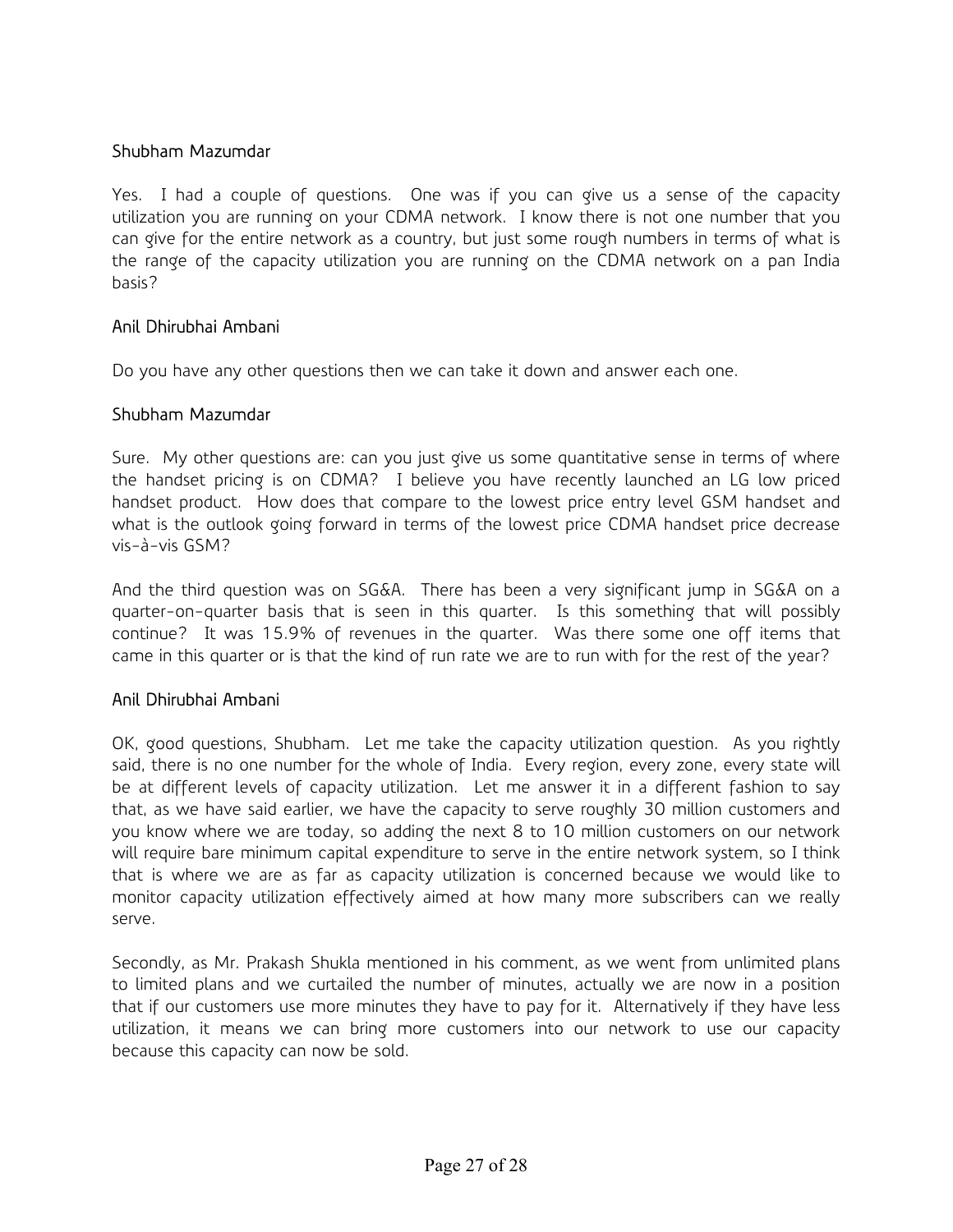### Shubham Mazumdar

Yes. I had a couple of questions. One was if you can give us a sense of the capacity utilization you are running on your CDMA network. I know there is not one number that you can give for the entire network as a country, but just some rough numbers in terms of what is the range of the capacity utilization you are running on the CDMA network on a pan India basis?

#### Anil Dhirubhai Ambani

Do you have any other questions then we can take it down and answer each one.

#### Shubham Mazumdar

Sure. My other questions are: can you just give us some quantitative sense in terms of where the handset pricing is on CDMA? I believe you have recently launched an LG low priced handset product. How does that compare to the lowest price entry level GSM handset and what is the outlook going forward in terms of the lowest price CDMA handset price decrease vis-à-vis GSM?

And the third question was on SG&A. There has been a very significant jump in SG&A on a quarter-on-quarter basis that is seen in this quarter. Is this something that will possibly continue? It was 15.9% of revenues in the quarter. Was there some one off items that came in this quarter or is that the kind of run rate we are to run with for the rest of the year?

#### Anil Dhirubhai Ambani

OK, good questions, Shubham. Let me take the capacity utilization question. As you rightly said, there is no one number for the whole of India. Every region, every zone, every state will be at different levels of capacity utilization. Let me answer it in a different fashion to say that, as we have said earlier, we have the capacity to serve roughly 30 million customers and you know where we are today, so adding the next 8 to 10 million customers on our network will require bare minimum capital expenditure to serve in the entire network system, so I think that is where we are as far as capacity utilization is concerned because we would like to monitor capacity utilization effectively aimed at how many more subscribers can we really serve.

Secondly, as Mr. Prakash Shukla mentioned in his comment, as we went from unlimited plans to limited plans and we curtailed the number of minutes, actually we are now in a position that if our customers use more minutes they have to pay for it. Alternatively if they have less utilization, it means we can bring more customers into our network to use our capacity because this capacity can now be sold.